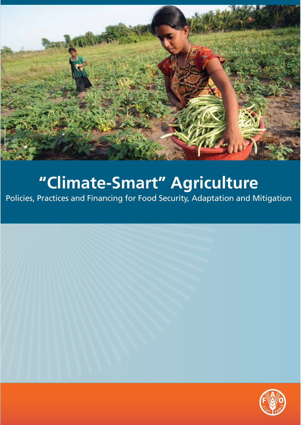

Policies, Practices and Financing for Food Security, Adaptation and Mitigation

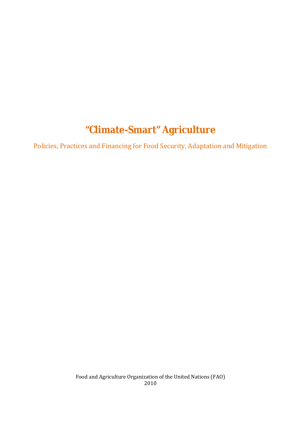# **"Climate-Smart" Agriculture**

Policies, Practices and Financing for Food Security, Adaptation and Mitigation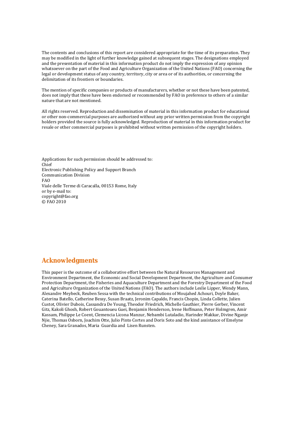The contents and conclusions of this report are considered appropriate for the time of its preparation. They may be modified in the light of further knowledge gained at subsequent stages. The designations employed and the presentation of material in this information product do not imply the expression of any opinion whatsoever on the part of the Food and Agriculture Organization of the United Nations (FAO) concerning the legal or development status of any country, territory, city or area or of its authorities, or concerning the delimitation of its frontiers or boundaries.

The mention of specific companies or products of manufacturers, whether or not these have been patented, does not imply that these have been endorsed or recommended by FAO in preference to others of a similar nature that are not mentioned.

All rights reserved. Reproduction and dissemination of material in this information product for educational or other non-commercial purposes are authorized without any prior written permission from the copyright holders provided the source is fully acknowledged. Reproduction of material in this information product for resale or other commercial purposes is prohibited without written permission of the copyright holders.

Applications for such permission should be addressed to: Chief Electronic Publishing Policy and Support Branch Communication Division FAO Viale delle Terme di Caracalla, 00153 Rome, Italy or by e-mail to: copyright@fao.org © FAO 2010

### **Acknowledgments**

This paper is the outcome of a collaborative effort between the Natural Resources Management and Environment Department, the Economic and Social Development Department, the Agriculture and Consumer Protection Department, the Fisheries and Aquaculture Department and the Forestry Department of the Food and Agriculture Organization of the United Nations (FAO). The authors include Leslie Lipper, Wendy Mann, Alexandre Meybeck, Reuben Sessa with the technical contributions of Moujahed Achouri, Doyle Baker, Caterina Batello, Catherine Bessy, Susan Braatz, Jeronim Capaldo, Francis Chopin, Linda Collette, Julien Custot, Olivier Dubois, Cassandra De Young, Theodor Friedrich, Michelle Gauthier, Pierre Gerber, Vincent Gitz, Kakoli Ghosh, Robert Gouantoueu Guei, Benjamin Henderson, Irene Hoffmann, Peter Holmgren, Amir Kassam, Philippe Le Coent, Clemencia Licona Manzur, Nebambi Lutaladio, Harinder Makkar, Divine Nganje Njie, Thomas Osborn, Joachim Otte, Julio Pinto Cortes and Doris Soto and the kind assistance of Emelyne Cheney, Sara Granados, Maria Guardia and Lisen Runsten.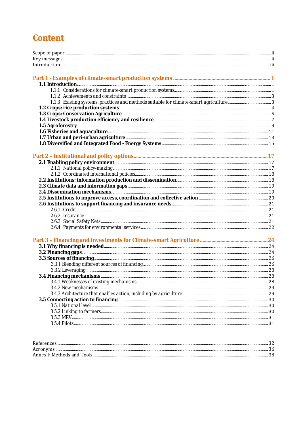## **Content**

| Ref                    |  |
|------------------------|--|
| Acr                    |  |
| Annex I: Methods and " |  |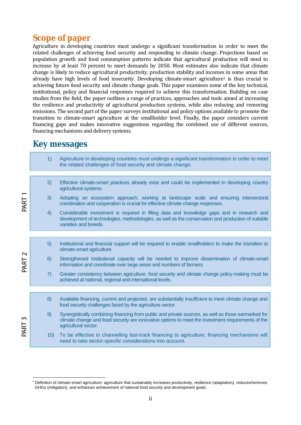## **Scope of paper**

Agriculture in developing countries must undergo a significant transformation in order to meet the related challenges of achieving food security and responding to climate change. Projections based on population growth and food consumption patterns indicate that agricultural production will need to increase by at least 70 percent to meet demands by 2050. Most estimates also indicate that climate change is likely to reduce agricultural productivity, production stability and incomes in some areas that already have high levels of food insecurity. Developing climate-smart agriculture<sup>1</sup> is thus crucial to achieving future food security and climate change goals. This paper examines some of the key technical, institutional, policy and financial responses required to achieve this transformation. Building on case studies from the field, the paper outlines a range of practices, approaches and tools aimed at increasing the resilience and productivity of agricultural production systems, while also reducing and removing emissions. The second part of the paper surveys institutional and policy options available to promote the transition to climate-smart agriculture at the smallholder level. Finally, the paper considers current financing gaps and makes innovative suggestions regarding the combined use of different sources, financing mechanisms and delivery systems.

## **Key messages**

|                           | 1)  | Agriculture in developing countries must undergo a significant transformation in order to meet<br>the related challenges of food security and climate change.                                                                     |
|---------------------------|-----|-----------------------------------------------------------------------------------------------------------------------------------------------------------------------------------------------------------------------------------|
| PART                      | 2)  | Effective climate-smart practices already exist and could be implemented in developing country<br>agricultural systems.                                                                                                           |
|                           | 3)  | Adopting an ecosystem approach, working at landscape scale and ensuring intersectoral<br>coordination and cooperation is crucial for effective climate change responses.                                                          |
|                           | 4)  | Considerable investment is required in filling data and knowledge gaps and in research and<br>development of technologies, methodologies, as well as the conservation and production of suitable<br>varieties and breeds.         |
|                           |     |                                                                                                                                                                                                                                   |
| $\mathbf{\Omega}$<br>PART | 5)  | Institutional and financial support will be required to enable smallholders to make the transition to<br>climate-smart agriculture.                                                                                               |
|                           | 6)  | Strengthened institutional capacity will be needed to improve dissemination of climate-smart<br>information and coordinate over large areas and numbers of farmers.                                                               |
|                           | 7)  | Greater consistency between agriculture, food security and climate change policy-making must be<br>achieved at national, regional and international levels.                                                                       |
|                           |     |                                                                                                                                                                                                                                   |
| $\mathsf{S}$<br>PART      | 8)  | Available financing, current and projected, are substantially insufficient to meet climate change and<br>food security challenges faced by the agriculture sector.                                                                |
|                           | 9)  | Synergistically combining financing from public and private sources, as well as those earmarked for<br>climate change and food security are innovative options to meet the investment requirements of the<br>agricultural sector. |
|                           | 10) | To be effective in channelling fast-track financing to agriculture, financing mechanisms will<br>need to take sector-specific considerations into account.                                                                        |
|                           |     |                                                                                                                                                                                                                                   |

 $\overline{a}$ <sup>1</sup> Definition of climate-smart agriculture: agriculture that sustainably increases productivity, resilience (adaptation), reduces/removes GHGs (mitigation), and enhances achievement of national food security and development goals.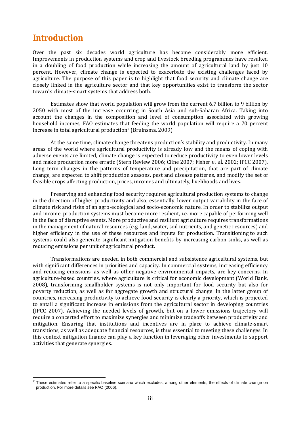## **Introduction**

 $\overline{a}$ 

Over the past six decades world agriculture has become considerably more efficient. Improvements in production systems and crop and livestock breeding programmes have resulted in a doubling of food production while increasing the amount of agricultural land by just 10 percent. However, climate change is expected to exacerbate the existing challenges faced by agriculture. The purpose of this paper is to highlight that food security and climate change are closely linked in the agriculture sector and that key opportunities exist to transform the sector towards climate-smart systems that address both.

 Estimates show that world population will grow from the current 6.7 billion to 9 billion by 2050 with most of the increase occurring in South Asia and sub-Saharan Africa. Taking into account the changes in the composition and level of consumption associated with growing household incomes, FAO estimates that feeding the world population will require a 70 percent increase in total agricultural production<sup>2</sup> (Bruinsma, 2009).

 At the same time, climate change threatens production's stability and productivity. In many areas of the world where agricultural productivity is already low and the means of coping with adverse events are limited, climate change is expected to reduce productivity to even lower levels and make production more erratic (Stern Review 2006; Cline 2007; Fisher *et al*. 2002; IPCC 2007). Long term changes in the patterns of temperature and precipitation, that are part of climate change, are expected to shift production seasons, pest and disease patterns, and modify the set of feasible crops affecting production, prices, incomes and ultimately, livelihoods and lives.

 Preserving and enhancing food security requires agricultural production systems to change in the direction of higher productivity and also, essentially, lower output variability in the face of climate risk and risks of an agro-ecological and socio-economic nature. In order to stabilize output and income, production systems must become more resilient, i.e. more capable of performing well in the face of disruptive events. More productive and resilient agriculture requires transformations in the management of natural resources (e.g. land, water, soil nutrients, and genetic resources) and higher efficiency in the use of these resources and inputs for production. Transitioning to such systems could also generate significant mitigation benefits by increasing carbon sinks, as well as reducing emissions per unit of agricultural product.

 Transformations are needed in both commercial and subsistence agricultural systems, but with significant differences in priorities and capacity. In commercial systems, increasing efficiency and reducing emissions, as well as other negative environmental impacts, are key concerns. In agriculture-based countries, where agriculture is critical for economic development (World Bank, 2008), transforming smallholder systems is not only important for food security but also for poverty reduction, as well as for aggregate growth and structural change. In the latter group of countries, increasing productivity to achieve food security is clearly a priority, which is projected to entail a significant increase in emissions from the agricultural sector in developing countries (IPCC 2007). Achieving the needed levels of growth, but on a lower emissions trajectory will require a concerted effort to maximize synergies and minimize tradeoffs between productivity and mitigation. Ensuring that institutions and incentives are in place to achieve climate-smart transitions, as well as adequate financial resources, is thus essential to meeting these challenges. In this context mitigation finance can play a key function in leveraging other investments to support activities that generate synergies.

<sup>2</sup> These estimates refer to a specific baseline scenario which excludes, among other elements, the effects of climate change on production. For more details see FAO (2006).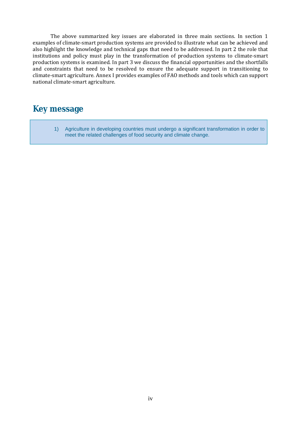The above summarized key issues are elaborated in three main sections. In section 1 examples of climate-smart production systems are provided to illustrate what can be achieved and also highlight the knowledge and technical gaps that need to be addressed. In part 2 the role that institutions and policy must play in the transformation of production systems to climate-smart production systems is examined. In part 3 we discuss the financial opportunities and the shortfalls and constraints that need to be resolved to ensure the adequate support in transitioning to climate-smart agriculture. Annex I provides examples of FAO methods and tools which can support national climate-smart agriculture.

## **Key message**

1) Agriculture in developing countries must undergo a significant transformation in order to meet the related challenges of food security and climate change.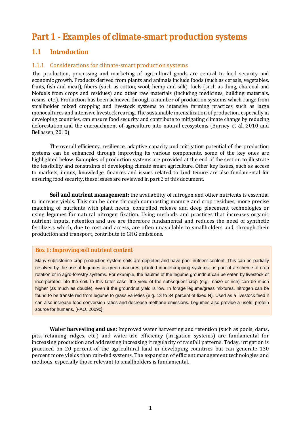## **Part 1 - Examples of climate-smart production systems**

### **1.1 Introduction**

### 1.1.1 Considerations for climate-smart production systems

The production, processing and marketing of agricultural goods are central to food security and economic growth. Products derived from plants and animals include foods (such as cereals, vegetables, fruits, fish and meat), fibers (such as cotton, wool, hemp and silk), fuels (such as dung, charcoal and biofuels from crops and residues) and other raw materials (including medicines, building materials, resins, etc.). Production has been achieved through a number of production systems which range from smallholder mixed cropping and livestock systems to intensive farming practices such as large monocultures and intensive livestock rearing. The sustainable intensification of production, especially in developing countries, can ensure food security and contribute to mitigating climate change by reducing deforestation and the encroachment of agriculture into natural ecosystems (Burney *et al*, 2010 and Bellassen, 2010).

 The overall efficiency, resilience, adaptive capacity and mitigation potential of the production systems can be enhanced through improving its various components, some of the key ones are highlighted below. Examples of production systems are provided at the end of the section to illustrate the feasibility and constraints of developing climate smart agriculture. Other key issues, such as access to markets, inputs, knowledge, finances and issues related to land tenure are also fundamental for ensuring food security, these issues are reviewed in part 2 of this document.

 **Soil and nutrient management:** the availability of nitrogen and other nutrients is essential to increase yields. This can be done through composting manure and crop residues, more precise matching of nutrients with plant needs, controlled release and deep placement technologies or using legumes for natural nitrogen fixation. Using methods and practices that increases organic nutrient inputs, retention and use are therefore fundamental and reduces the need of synthetic fertilizers which, due to cost and access, are often unavailable to smallholders and, through their production and transport, contribute to GHG emissions.

#### **Box 1: Improving soil nutrient content**

Many subsistence crop production system soils are depleted and have poor nutrient content. This can be partially resolved by the use of legumes as green manures, planted in intercropping systems, as part of a scheme of crop rotation or in agro-forestry systems. For example, the haulms of the legume groundnut can be eaten by livestock or incorporated into the soil. In this latter case, the yield of the subsequent crop (e.g. maize or rice) can be much higher (as much as double), even if the groundnut yield is low. In forage legume/grass mixtures, nitrogen can be found to be transferred from legume to grass varieties (e.g. 13 to 34 percent of fixed N). Used as a livestock feed it can also increase food conversion ratios and decrease methane emissions. Legumes also provide a useful protein source for humans. [FAO, 2009c].

 **Water harvesting and use:** Improved water harvesting and retention (such as pools, dams, pits, retaining ridges, etc.) and water-use efficiency (irrigation systems) are fundamental for increasing production and addressing increasing irregularity of rainfall patterns. Today, irrigation is practiced on 20 percent of the agricultural land in developing countries but can generate 130 percent more yields than rain-fed systems. The expansion of efficient management technologies and methods, especially those relevant to smallholders is fundamental.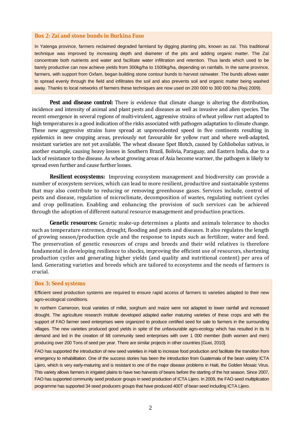#### **Box 2: Zaï and stone bunds in Burkina Faso**

In Yatenga province, farmers reclaimed degraded farmland by digging planting pits, known as zaï. This traditional technique was improved by increasing depth and diameter of the pits and adding organic matter. The Zaï concentrate both nutrients and water and facilitate water infiltration and retention. Thus lands which used to be barely productive can now achieve yields from 300kg/ha to 1500kg/ha, depending on rainfalls. In the same province, farmers, with support from Oxfam, began building stone contour bunds to harvest rainwater. The bunds allows water to spread evenly through the field and infiltrates the soil and also prevents soil and organic matter being washed away. Thanks to local networks of farmers these techniques are now used on 200 000 to 300 000 ha (Reij 2009).

**Pest and disease control:** There is evidence that climate change is altering the distribution, incidence and intensity of animal and plant pests and diseases as well as invasive and alien species. The recent emergence in several regions of multi-virulent, aggressive strains of wheat yellow rust adapted to high temperatures is a good indication of the risks associated with pathogen adaptation to climate change. These new aggressive strains have spread at unprecedented speed in five continents resulting in epidemics in new cropping areas, previously not favourable for yellow rust and where well-adapted, resistant varieties are not yet available. The wheat disease Spot Blotch, caused by Cohliobolus sativus, is another example, causing heavy losses in Southern Brazil, Bolivia, Paraguay, and Eastern India, due to a lack of resistance to the disease. As wheat growing areas of Asia become warmer, the pathogen is likely to spread even further and cause further losses.

**Resilient ecosystems:** Improving ecosystem management and biodiversity can provide a number of ecosystem services, which can lead to more resilient, productive and sustainable systems that may also contribute to reducing or removing greenhouse gases. Services include, control of pests and disease, regulation of microclimate, decomposition of wastes, regulating nutrient cycles and crop pollination. Enabling and enhancing the provision of such services can be achieved through the adoption of different natural resource management and production practices.

 **Genetic resources:** Genetic make-up determines a plants and animals tolerance to shocks such as temperature extremes, drought, flooding and pests and diseases. It also regulates the length of growing season/production cycle and the response to inputs such as fertilizer, water and feed. The preservation of genetic resources of crops and breeds and their wild relatives is therefore fundamental in developing resilience to shocks, improving the efficient use of resources, shortening production cycles and generating higher yields (and quality and nutritional content) per area of land. Generating varieties and breeds which are tailored to ecosystems and the needs of farmers is crucial.

#### **Box 3: Seed systems**

Efficient seed production systems are required to ensure rapid access of farmers to varieties adapted to their new agro-ecological conditions.

In northern Cameroon, local varieties of millet, sorghum and maize were not adapted to lower rainfall and increased drought. The agriculture research institute developed adapted earlier maturing varieties of these crops and with the support of FAO farmer seed enterprises were organized to produce certified seed for sale to farmers in the surrounding villages. The new varieties produced good yields in spite of the unfavourable agro-ecology which has resulted in its hi demand and led in the creation of 68 community seed enterprises with over 1 000 member (both women and men) producing over 200 Tons of seed per year. There are similar projects in other countries [Guei, 2010].

FAO has supported the introduction of new seed varieties in Haiti to increase food production and facilitate the transition from emergency to rehabilitation. One of the success stories has been the introduction from Guatemala of the bean variety ICTA Lijero, which is very early-maturing and is resistant to one of the major disease problems in Haiti, the Golden Mosaic Virus. This variety allows farmers in irrigated plains to have two harvests of beans before the starting of the hot season. Since 2007, FAO has supported community seed producer groups in seed production of ICTA Lijero. In 2009, the FAO seed multiplication programme has supported 34 seed producers groups that have produced 400T of bean seed including ICTA Lijero.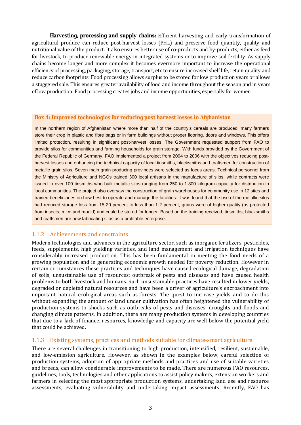**Harvesting, processing and supply chains:** Efficient harvesting and early transformation of agricultural produce can reduce post-harvest losses (PHL) and preserve food quantity, quality and nutritional value of the product. It also ensures better use of co-products and by-products, either as feed for livestock, to produce renewable energy in integrated systems or to improve soil fertility. As supply chains become longer and more complex it becomes evermore important to increase the operational efficiency of processing, packaging, storage, transport, etc to ensure increased shelf life, retain quality and reduce carbon footprints. Food processing allows surplus to be stored for low production years or allows a staggered sale. This ensures greater availability of food and income throughout the season and in years of low production. Food processing creates jobs and income opportunities, especially for women.

#### **Box 4: Improved technologies for reducing post harvest losses in Afghanistan**

In the northern region of Afghanistan where more than half of the country's cereals are produced, many farmers store their crop in plastic and fibre bags or in farm buildings without proper flooring, doors and windows. This offers limited protection, resulting in significant post-harvest losses. The Government requested support from FAO to provide silos for communities and farming households for grain storage. With funds provided by the Government of the Federal Republic of Germany, FAO implemented a project from 2004 to 2006 with the objectives reducing postharvest losses and enhancing the technical capacity of local tinsmiths, blacksmiths and craftsmen for construction of metallic grain silos. Seven main grain producing provinces were selected as focus areas. Technical personnel from the Ministry of Agriculture and NGOs trained 300 local artisans in the manufacture of silos, while contracts were issued to over 100 tinsmiths who built metallic silos ranging from 250 to 1 800 kilogram capacity for distribution in local communities. The project also oversaw the construction of grain warehouses for community use in 12 sites and trained beneficiaries on how best to operate and manage the facilities. It was found that the use of the metallic silos had reduced storage loss from 15-20 percent to less than 1-2 percent, grains were of higher quality (as protected from insects, mice and mould) and could be stored for longer. Based on the training received, tinsmiths, blacksmiths and craftsmen are now fabricating silos as a profitable enterprise.

### 1.1.2 Achievements and constraints

Modern technologies and advances in the agriculture sector, such as inorganic fertilizers, pesticides, feeds, supplements, high yielding varieties, and land management and irrigation techniques have considerably increased production. This has been fundamental in meeting the food needs of a growing population and in generating economic growth needed for poverty reduction. However in certain circumstances these practices and techniques have caused ecological damage, degradation of soils, unsustainable use of resources; outbreak of pests and diseases and have caused health problems to both livestock and humans. Such unsustainable practices have resulted in lower yields, degraded or depleted natural resources and have been a driver of agriculture's encroachment into important natural ecological areas such as forests. The quest to increase yields and to do this without expanding the amount of land under cultivation has often heightened the vulnerability of production systems to shocks such as outbreaks of pests and diseases, droughts and floods and changing climate patterns. In addition, there are many production systems in developing countries that due to a lack of finance, resources, knowledge and capacity are well below the potential yield that could be achieved.

#### 1.1.3 Existing systems, practices and methods suitable for climate-smart agriculture

There are several challenges in transitioning to high production, intensified, resilient, sustainable, and low-emission agriculture. However, as shown in the examples below, careful selection of production systems, adoption of appropriate methods and practices and use of suitable varieties and breeds, can allow considerable improvements to be made. There are numerous FAO resources, guidelines, tools, technologies and other applications to assist policy makers, extension workers and farmers in selecting the most appropriate production systems, undertaking land use and resource assessments, evaluating vulnerability and undertaking impact assessments. Recently, FAO has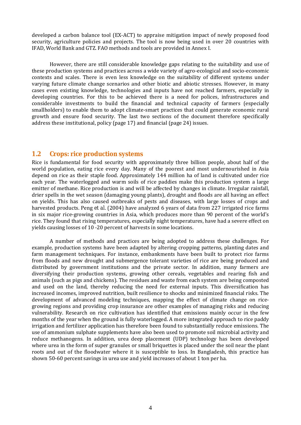developed a carbon balance tool (EX-ACT) to appraise mitigation impact of newly proposed food security, agriculture policies and projects. The tool is now being used in over 20 countries with IFAD, World Bank and GTZ. FAO methods and tools are provided in Annex I.

 However, there are still considerable knowledge gaps relating to the suitability and use of these production systems and practices across a wide variety of agro-ecological and socio-economic contexts and scales. There is even less knowledge on the suitability of different systems under varying future climate change scenarios and other biotic and abiotic stresses. However, in many cases even existing knowledge, technologies and inputs have not reached farmers, especially in developing countries. For this to be achieved there is a need for polices, infrastructures and considerable investments to build the financial and technical capacity of farmers (especially smallholders) to enable them to adopt climate-smart practices that could generate economic rural growth and ensure food security. The last two sections of the document therefore specifically address these institutional, policy (page 17) and financial (page 24) issues.

#### **1.2 Crops: rice production systems**

Rice is fundamental for food security with approximately three billion people, about half of the world population, eating rice every day. Many of the poorest and most undernourished in Asia depend on rice as their staple food. Approximately 144 million ha of land is cultivated under rice each year. The waterlogged and warm soils of rice paddies make this production system a large emitter of methane. Rice production is and will be affected by changes in climate. Irregular rainfall, drier spells in the wet season (damaging young plants), drought and floods are all having an effect on yields. This has also caused outbreaks of pests and diseases, with large losses of crops and harvested products. Peng *et al.* (2004) have analyzed 6 years of data from 227 irrigated rice farms in six major rice-growing countries in Asia, which produces more than 90 percent of the world's rice. They found that rising temperatures, especially night temperatures, have had a severe effect on yields causing losses of 10 -20 percent of harvests in some locations.

 A number of methods and practices are being adopted to address these challenges. For example, production systems have been adapted by altering cropping patterns, planting dates and farm management techniques. For instance, embankments have been built to protect rice farms from floods and new drought and submergence tolerant varieties of rice are being produced and distributed by government institutions and the private sector. In addition, many farmers are diversifying their production systems, growing other cereals, vegetables and rearing fish and animals (such as pigs and chickens). The residues and waste from each system are being composted and used on the land, thereby reducing the need for external inputs. This diversification has increased incomes, improved nutrition, built resilience to shocks and minimized financial risks. The development of advanced modeling techniques, mapping the effect of climate change on ricegrowing regions and providing crop insurance are other examples of managing risks and reducing vulnerability. Research on rice cultivation has identified that emissions mainly occur in the few months of the year when the ground is fully waterlogged. A more integrated approach to rice paddy irrigation and fertilizer application has therefore been found to substantially reduce emissions. The use of ammonium sulphate supplements have also been used to promote soil microbial activity and reduce methanogens. In addition, urea deep placement (UDP) technology has been developed where urea in the form of super granules or small briquettes is placed under the soil near the plant roots and out of the floodwater where it is susceptible to loss. In Bangladesh, this practice has shown 50-60 percent savings in urea use and yield increases of about 1 ton per ha.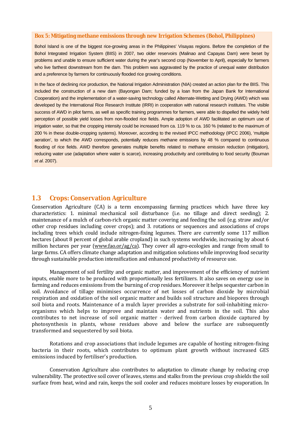#### **Box 5: Mitigating methane emissions through new Irrigation Schemes (Bohol, Philippines)**

Bohol Island is one of the biggest rice-growing areas in the Philippines' Visayas regions. Before the completion of the Bohol Integrated Irrigation System (BIIS) in 2007, two older reservoirs (Malinao and Capayas Dam) were beset by problems and unable to ensure sufficient water during the year's second crop (November to April), especially for farmers who live farthest downstream from the dam. This problem was aggravated by the practice of unequal water distribution and a preference by farmers for continuously flooded rice growing conditions.

In the face of declining rice production, the National Irrigation Administration (NIA) created an action plan for the BIIS. This included the construction of a new dam (Bayongan Dam; funded by a loan from the Japan Bank for International Cooperation) and the implementation of a water-saving technology called Alternate-Wetting and Drying (AWD) which was developed by the International Rice Research Institute (IRRI) in cooperation with national research institutes. The visible success of AWD in pilot farms, as well as specific training programmes for farmers, were able to dispelled the widely held perception of possible yield losses from non-flooded rice fields. Ample adoption of AWD facilitated an optimum use of irrigation water, so that the cropping intensity could be increased from ca. 119 % to ca. 160 % (related to the maximum of 200 % in these double-cropping systems). Moreover, according to the revised IPCC methodology (IPCC 2006), 'multiple aeration', to which the AWD corresponds, potentially reduces methane emissions by 48 % compared to continuous flooding of rice fields. AWD therefore generates multiple benefits related to methane emission reduction (mitigation), reducing water use (adaptation where water is scarce), increasing productivity and contributing to food security (Bouman *et al*. 2007).

#### **1.3 Crops: Conservation Agriculture**

Conservation Agriculture (CA) is a term encompassing farming practices which have three key characteristics: 1. minimal mechanical soil disturbance (i.e. no tillage and direct seeding); 2. maintenance of a mulch of carbon-rich organic matter covering and feeding the soil (e.g. straw and/or other crop residues including cover crops); and 3. rotations or sequences and associations of crops including trees which could include nitrogen-fixing legumes. There are currently some 117 million hectares (about 8 percent of global arable cropland) in such systems worldwide, increasing by about 6 million hectares per year (www.fao.or/ag/ca). They cover all agro-ecologies and range from small to large farms. CA offers climate change adaptation and mitigation solutions while improving food security through sustainable production intensification and enhanced productivity of resource use.

 Management of soil fertility and organic matter, and improvement of the efficiency of nutrient inputs, enable more to be produced with proportionally less fertilizers. It also saves on energy use in farming and reduces emissions from the burning of crop residues. Moreover it helps sequester carbon in soil. Avoidance of tillage minimises occurrence of net losses of carbon dioxide by microbial respiration and oxidation of the soil organic matter and builds soil structure and biopores through soil biota and roots. Maintenance of a mulch layer provides a substrate for soil-inhabiting microorganisms which helps to improve and maintain water and nutrients in the soil. This also contributes to net increase of soil organic matter - derived from carbon dioxide captured by photosynthesis in plants, whose residues above and below the surface are subsequently transformed and sequestered by soil biota.

 Rotations and crop associations that include legumes are capable of hosting nitrogen-fixing bacteria in their roots, which contributes to optimum plant growth without increased GES emissions induced by fertiliser's production.

 Conservation Agriculture also contributes to adaptation to climate change by reducing crop vulnerability. The protective soil cover of leaves, stems and stalks from the previous crop shields the soil surface from heat, wind and rain, keeps the soil cooler and reduces moisture losses by evaporation. In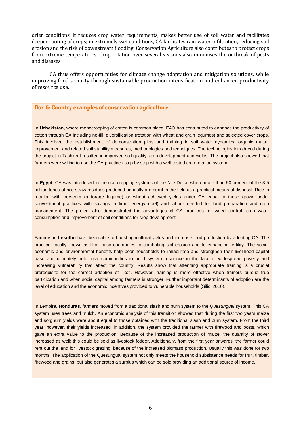drier conditions, it reduces crop water requirements, makes better use of soil water and facilitates deeper rooting of crops; in extremely wet conditions, CA facilitates rain water infiltration, reducing soil erosion and the risk of downstream flooding. Conservation Agriculture also contributes to protect crops from extreme temperatures. Crop rotation over several seasons also minimises the outbreak of pests and diseases.

 CA thus offers opportunities for climate change adaptation and mitigation solutions, while improving food security through sustainable production intensification and enhanced productivity of resource use.

#### **Box 6: Country examples of conservation agriculture**

In **Uzbekistan**, where monocropping of cotton is common place, FAO has contributed to enhance the productivity of cotton through CA including no-till, diversification (rotation with wheat and grain legumes) and selected cover crops. This involved the establishment of demonstration plots and training in soil water dynamics, organic matter improvement and related soil stability measures, methodologies and techniques. The technologies introduced during the project in Tashkent resulted in improved soil quality, crop development and yields. The project also showed that farmers were willing to use the CA practices step by step with a well-tested crop rotation system.

In **Egypt**, CA was introduced in the rice-cropping systems of the Nile Delta, where more than 50 percent of the 3-5 million tones of rice straw residues produced annually are burnt in the field as a practical means of disposal. Rice in rotation with berseem (a forage legume) or wheat achieved yields under CA equal to those grown under conventional practices with savings in time, energy (fuel) and labour needed for land preparation and crop management. The project also demonstrated the advantages of CA practices for weed control, crop water consumption and improvement of soil conditions for crop development.

Farmers in **Lesotho** have been able to boost agricultural yields and increase food production by adopting CA. The practice, locally known as likoti, also contributes to combating soil erosion and to enhancing fertility. The socioeconomic and environmental benefits help poor households to rehabilitate and strengthen their livelihood capital base and ultimately help rural communities to build system resilience in the face of widespread poverty and increasing vulnerability that affect the country. Results show that attending appropriate training is a crucial prerequisite for the correct adoption of likoti. However, training is more effective when trainers pursue true participation and when social capital among farmers is stronger. Further important determinants of adoption are the level of education and the economic incentives provided to vulnerable households (Silici 2010).

In Lempira, **Honduras**, farmers moved from a traditional slash and burn system to the *Quesungual* system. This CA system uses trees and mulch. An economic analysis of this transition showed that during the first two years maize and sorghum yields were about equal to those obtained with the traditional slash and burn system. From the third year, however, their yields increased, in addition, the system provided the farmer with firewood and posts, which gave an extra value to the production. Because of the increased production of maize, the quantity of stover increased as well; this could be sold as livestock fodder. Additionally, from the first year onwards, the farmer could rent out the land for livestock grazing, because of the increased biomass production. Usually this was done for two months. The application of the Quesungual system not only meets the household subsistence needs for fruit, timber, firewood and grains, but also generates a surplus which can be sold providing an additional source of income.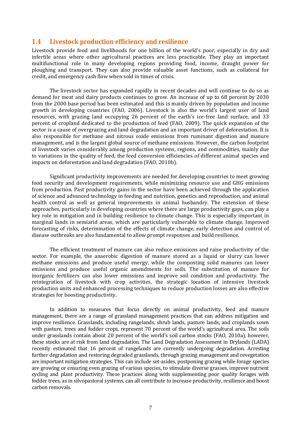#### **1.4 Livestock production efficiency and resilience**

Livestock provide food and livelihoods for one billion of the world's poor, especially in dry and infertile areas where other agricultural practices are less practicable. They play an important multifunctional role in many developing regions providing food, income, draught power for ploughing and transport. They can also provide valuable asset functions, such as collateral for credit, and emergency cash flow when sold in times of crisis.

 The livestock sector has expanded rapidly in recent decades and will continue to do so as demand for meat and dairy products continues to grow. An increase of up to 68 percent by 2030 from the 2000 base period has been estimated and this is mainly driven by population and income growth in developing countries (FAO, 2006). Livestock is also the world's largest user of land resources, with grazing land occupying 26 percent of the earth's ice-free land surface, and 33 percent of cropland dedicated to the production of feed (FAO, 2009). The quick expansion of the sector is a cause of overgrazing and land degradation and an important driver of deforestation. It is also responsible for methane and nitrous oxide emissions from ruminant digestion and manure management, and is the largest global source of methane emissions. However, the carbon footprint of livestock varies considerably among production systems, regions, and commodities, mainly due to variations in the quality of feed, the feed conversion efficiencies of different animal species and impacts on deforestation and land degradation (FAO, 2010b).

 Significant productivity improvements are needed for developing countries to meet growing food security and development requirements, while minimizing resource use and GHG emissions from production. Past productivity gains in the sector have been achieved through the application of science and advanced technology in feeding and nutrition, genetics and reproduction, and animal health control as well as general improvements in animal husbandry. The extension of these approaches, particularly in developing countries where there are large productivity gaps, can play a key role in mitigation and in building resilience to climate change. This is especially important in marginal lands in semiarid areas, which are particularly vulnerable to climate change. Improved forecasting of risks, determination of the effects of climate change, early detection and control of disease outbreaks are also fundamental to allow prompt responses and build resilience.

 The efficient treatment of manure can also reduce emissions and raise productivity of the sector. For example, the anaerobic digestion of manure stored as a liquid or slurry can lower methane emissions and produce useful energy, while the composting solid manures can lower emissions and produce useful organic amendments for soils. The substitution of manure for inorganic fertilizers can also lower emissions and improve soil condition and productivity. The reintegration of livestock with crop activities, the strategic location of intensive livestock production units and enhanced processing techniques to reduce production losses are also effective strategies for boosting productivity.

 In addition to measures that focus directly on animal productivity, feed and manure management, there are a range of grassland management practices that can address mitigation and improve resilience. Grasslands, including rangelands, shrub lands, pasture lands, and croplands sown with pasture, trees and fodder crops, represent 70 percent of the world's agricultural area. The soils under grasslands contain about 20 percent of the world's soil carbon stocks (FAO, 2010a), however, these stocks are at risk from land degradation. The Land Degradation Assessment in Drylands (LADA) recently estimated that 16 percent of rangelands are currently undergoing degradation. Arresting further degradation and restoring degraded grasslands, through grazing management and revegetation are important mitigation strategies. This can include set-asides, postponing grazing while forage species are growing or ensuring even grazing of various species, to stimulate diverse grasses, improve nutrient cycling and plant productivity. These practices along with supplementing poor quality forages with fodder trees, as in silvopastoral systems, can all contribute to increase productivity, resilience and boost carbon removals.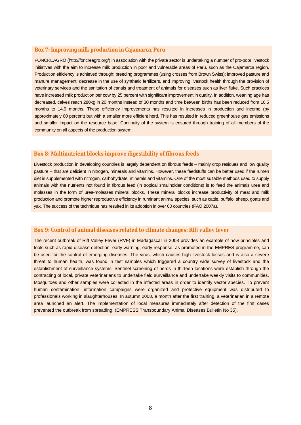#### **Box 7: Improving milk production in Cajamarca, Peru**

FONCREAGRO (http://foncreagro.org/) in association with the private sector is undertaking a number of pro-poor livestock initiatives with the aim to increase milk production in poor and vulnerable areas of Peru, such as the Cajamarca region. Production efficiency is achieved through: breeding programmes (using crosses from Brown Swiss); improved pasture and manure management; decrease in the use of synthetic fertilizers, and improving livestock health through the provision of veterinary services and the sanitation of canals and treatment of animals for diseases such as liver fluke. Such practices have increased milk production per cow by 25 percent with significant improvement in quality. In addition, weaning age has decreased, calves reach 280kg in 20 months instead of 30 months and time between births has been reduced from 16.5 months to 14.9 months. These efficiency improvements has resulted in increases in production and income (by approximately 60 percent) but with a smaller more efficient herd. This has resulted in reduced greenhouse gas emissions and smaller impact on the resource base. Continuity of the system is ensured through training of all members of the community on all aspects of the production system.

#### **Box 8: Multinutrient blocks improve digestibility of fibrous feeds**

Livestock production in developing countries is largely dependent on fibrous feeds – mainly crop residues and low quality pasture – that are deficient in nitrogen, minerals and vitamins. However, these feedstuffs can be better used if the rumen diet is supplemented with nitrogen, carbohydrate, minerals and vitamins. One of the most suitable methods used to supply animals with the nutrients not found in fibrous feed (in tropical smallholder conditions) is to feed the animals urea and molasses in the form of urea-molasses mineral blocks. These mineral blocks increase productivity of meat and milk production and promote higher reproductive efficiency in ruminant animal species, such as cattle, buffalo, sheep, goats and yak. The success of the technique has resulted in its adoption in over 60 countries (FAO 2007a).

#### **Box 9: Control of animal diseases related to climate changes: Rift valley fever**

The recent outbreak of Rift Valley Fever (RVF) in Madagascar in 2008 provides an example of how principles and tools such as rapid disease detection, early warning, early response, as promoted in the EMPRES programme, can be used for the control of emerging diseases. The virus, which causes high livestock losses and is also a severe threat to human health, was found in test samples which triggered a country wide survey of livestock and the establishment of surveillance systems. Sentinel screening of herds in thirteen locations were establish through the contracting of local, private veterinarians to undertake field surveillance and undertake weekly visits to communities. Mosquitoes and other samples were collected in the infected areas in order to identify vector species. To prevent human contamination, information campaigns were organized and protective equipment was distributed to professionals working in slaughterhouses. In autumn 2008, a month after the first training, a veterinarian in a remote area launched an alert. The implementation of local measures immediately after detection of the first cases prevented the outbreak from spreading. (EMPRESS Transboundary Animal Diseases Bulletin No 35).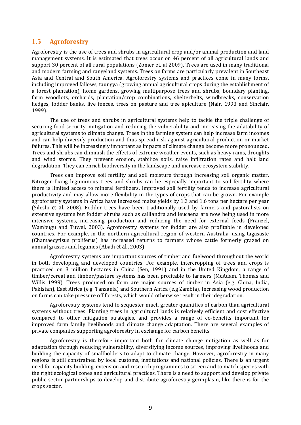### **1.5 Agroforestry**

Agroforestry is the use of trees and shrubs in agricultural crop and/or animal production and land management systems. It is estimated that trees occur on 46 percent of all agricultural lands and support 30 percent of all rural populations (Zomer et. al 2009). Trees are used in many traditional and modern farming and rangeland systems. Trees on farms are particularly prevalent in Southeast Asia and Central and South America. Agroforestry systems and practices come in many forms, including improved fallows, taungya (growing annual agricultural crops during the establishment of a forest plantation), home gardens, growing multipurpose trees and shrubs, boundary planting, farm woodlots, orchards, plantation/crop combinations, shelterbelts, windbreaks, conservation hedges, fodder banks, live fences, trees on pasture and tree apiculture (Nair, 1993 and Sinclair, 1999).

 The use of trees and shrubs in agricultural systems help to tackle the triple challenge of securing food security, mitigation and reducing the vulnerability and increasing the adatability of agricultural systems to climate change. Trees in the farming system can help increase farm incomes and can help diversify production and thus spread risk against agricultural production or market failures. This will be increasingly important as impacts of climate change become more pronounced. Trees and shrubs can diminish the effects of extreme weather events, such as heavy rains, droughts and wind storms. They prevent erosion, stabilize soils, raise infiltration rates and halt land degradation. They can enrich biodiversity in the landscape and increase ecosystem stability.

 Trees can improve soil fertility and soil moisture through increasing soil organic matter. Nitrogen-fixing leguminous trees and shrubs can be especially important to soil fertility where there is limited access to mineral fertilizers. Improved soil fertility tends to increase agricultural productivity and may allow more flexibility in the types of crops that can be grown. For example agroforestry systems in Africa have increased maize yields by 1.3 and 1.6 tons per hectare per year (Sileshi *et al*. 2008). Fodder trees have been traditionally used by farmers and pastoralists on extensive systems but fodder shrubs such as calliandra and leucaena are now being used in more intensive systems, increasing production and reducing the need for external feeds (Franzel, Wambugu and Tuwei, 2003). Agroforestry systems for fodder are also profitable in developed countries. For example, in the northern agricultural region of western Australia, using tagasaste (Chamaecytisus proliferus) has increased returns to farmers whose cattle formerly grazed on annual grasses and legumes (Abadi *et al*., 2003).

 Agroforestry systems are important sources of timber and fuelwood throughout the world in both developing and developed countries. For example, intercropping of trees and crops is practiced on 3 million hectares in China (Sen, 1991) and in the United Kingdom, a range of timber/cereal and timber/pasture systems has been profitable to farmers (McAdam, Thomas and Willis 1999). Trees produced on farm are major sources of timber in Asia (e.g. China, India, Pakistan), East Africa (e.g. Tanzania) and Southern Africa (e.g Zambia), Increasing wood production on farms can take pressure off forests, which would otherwise result in their degradation.

 Agroforestry systems tend to sequester much greater quantities of carbon than agricultural systems without trees. Planting trees in agricultural lands is relatively efficient and cost effective compared to other mitigation strategies, and provides a range of co-benefits important for improved farm family livelihoods and climate change adaptation. There are several examples of private companies supporting agroforestry in exchange for carbon benefits.

 Agroforestry is therefore important both for climate change mitigation as well as for adaptation through reducing vulnerability, diversifying income sources, improving livelihoods and building the capacity of smallholders to adapt to climate change. However, agroforestry in many regions is still constrained by local customs, institutions and national policies. There is an urgent need for capacity building, extension and research programmes to screen and to match species with the right ecological zones and agricultural practices. There is a need to support and develop private public sector partnerships to develop and distribute agroforestry germplasm, like there is for the crops sector.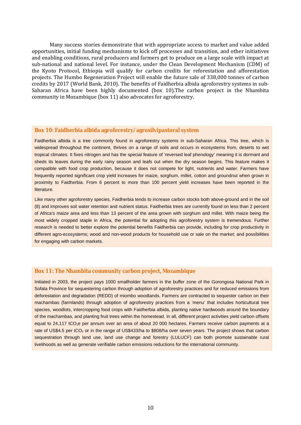Many success stories demonstrate that with appropriate access to market and value added opportunities, initial funding mechanisms to kick off processes and transition, and other initiatives and enabling conditions, rural producers and farmers get to produce on a large scale with impact at sub-national and national level. For instance, under the Clean Development Mechanism (CDM) of the Kyoto Protocol, Ethiopia will qualify for carbon credits for reforestation and afforestation projects. The Humbo Regeneration Project will enable the future sale of 338,000 tonnes of carbon credits by 2017 (World Bank, 2010). The benefits of Faidherbia albida agroforestry systems in sub-Saharan Africa have been highly documented (box 10).The carbon project in the Nhambita community in Mozambique (box 11) also advocates for agroforestry.

#### **Box 10: Faidherbia albida agroforestry/agrosilvipastoral system**

Faidherbia albida is a tree commonly found in agroforestry systems in sub-Saharan Africa. This tree, which is widespread throughout the continent, thrives on a range of soils and occurs in ecosystems from, deserts to wet tropical climates. It fixes nitrogen and has the special feature of 'reversed leaf phenology' meaning it is dormant and sheds its leaves during the early rainy season and leafs out when the dry season begins. This feature makes it compatible with food crop production, because it does not compete for light, nutrients and water. Farmers have frequently reported significant crop yield increases for maize, sorghum, millet, cotton and groundnut when grown in proximity to Faidherbia. From 6 percent to more than 100 percent yield increases have been reported in the literature.

Like many other agroforestry species, Faidherbia tends to increase carbon stocks both above-ground and in the soil (8) and improves soil water retention and nutrient status. Faidherbia trees are currently found on less than 2 percent of Africa's maize area and less than 13 percent of the area grown with sorghum and millet. With maize being the most widely cropped staple in Africa, the potential for adopting this agroforestry system is tremendous. Further research is needed to better explore the potential benefits Faidherbia can provide, including for crop productivity in different agro-ecosystems; wood and non-wood products for household use or sale on the market; and possibilities for engaging with carbon markets.

#### **Box 11: The Nhambita community carbon project, Mozambique**

Initiated in 2003, the project pays 1000 smallholder farmers in the buffer zone of the Gorongosa National Park in Sofala Province for sequestering carbon through adoption of agroforestry practices and for reduced emissions from deforestation and degradation (REDD) of miombo woodlands. Farmers are contracted to sequester carbon on their machambas (farmlands) through adoption of agroforestry practices from a 'menu' that includes horticultural tree species, woodlots, intercropping food crops with Faidherbia albida, planting native hardwoods around the boundary of the machambas, and planting fruit trees within the homestead. In all, different project activities yield carbon offsets equal to 24,117 tCO<sub>2</sub>e per annum over an area of about 20 000 hectares. Farmers receive carbon payments at a rate of US\$4.5 per tCO<sub>2</sub> or in the range of US\$433/ha to \$808/ha over seven years. The project shows that carbon sequestration through land use, land use change and forestry (LULUCF) can both promote sustainable rural livelihoods as well as generate verifiable carbon emissions reductions for the international community.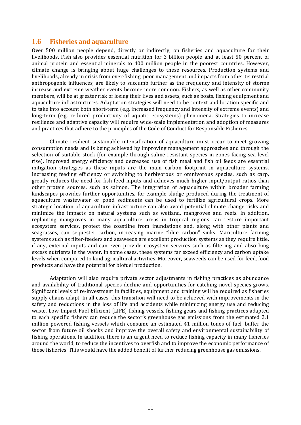### **1.6 Fisheries and aquaculture**

Over 500 million people depend, directly or indirectly, on fisheries and aquaculture for their livelihoods. Fish also provides essential nutrition for 3 billion people and at least 50 percent of animal protein and essential minerals to 400 million people in the poorest countries. However, climate change is bringing about huge challenges to these resources. Production systems and livelihoods, already in crisis from over-fishing, poor management and impacts from other terrestrial anthropogenic influences, are likely to succumb further as the frequency and intensity of storms increase and extreme weather events become more common. Fishers, as well as other community members, will be at greater risk of losing their lives and assets, such as boats, fishing equipment and aquaculture infrastructures. Adaptation strategies will need to be context and location specific and to take into account both short-term (e.g. increased frequency and intensity of extreme events) and long-term (e.g. reduced productivity of aquatic ecosystems) phenomena. Strategies to increase resilience and adaptive capacity will require wide-scale implementation and adoption of measures and practices that adhere to the principles of the Code of Conduct for Responsible Fisheries.

 Climate resilient sustainable intensification of aquaculture must occur to meet growing consumption needs and is being achieved by improving management approaches and through the selection of suitable stock (for example through saline resistant species in zones facing sea level rise). Improved energy efficiency and decreased use of fish meal and fish oil feeds are essential mitigation strategies as these inputs are the main carbon footprint in aquaculture systems. Increasing feeding efficiency or switching to herbivorous or omnivorous species, such as carp, greatly reduces the need for fish feed inputs and achieves much higher input/output ratios than other protein sources, such as salmon. The integration of aquaculture within broader farming landscapes provides further opportunities, for example sludge produced during the treatment of aquaculture wastewater or pond sediments can be used to fertilize agricultural crops. More strategic location of aquaculture infrastructure can also avoid potential climate change risks and minimize the impacts on natural systems such as wetland, mangroves and reefs. In addition, replanting mangroves in many aquaculture areas in tropical regions can restore important ecosystem services, protect the coastline from inundations and, along with other plants and seagrasses, can sequester carbon, increasing marine "blue carbon" sinks. Mariculture farming systems such as filter-feeders and seaweeds are excellent production systems as they require little, if any, external inputs and can even provide ecosystem services such as filtering and absorbing excess nutrients in the water. In some cases, these systems far exceed efficiency and carbon uptake levels when compared to land agricultural activities. Moreover, seaweeds can be used for feed, food products and have the potential for biofuel production.

 Adaptation will also require private sector adjustments in fishing practices as abundance and availability of traditional species decline and opportunities for catching novel species grows. Significant levels of re-investment in facilities, equipment and training will be required as fisheries supply chains adapt. In all cases, this transition will need to be achieved with improvements in the safety and reductions in the loss of life and accidents while minimizing energy use and reducing waste. Low Impact Fuel Efficient [LIFE] fishing vessels, fishing gears and fishing practices adapted to each specific fishery can reduce the sector's greenhouse gas emissions from the estimated 2.1 million powered fishing vessels which consume an estimated 41 million tones of fuel, buffer the sector from future oil shocks and improve the overall safety and environmental sustainability of fishing operations. In addition, there is an urgent need to reduce fishing capacity in many fisheries around the world, to reduce the incentives to overfish and to improve the economic performance of those fisheries. This would have the added benefit of further reducing greenhouse gas emissions.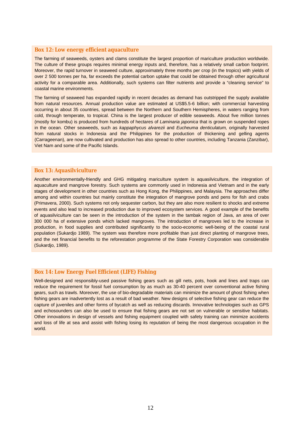#### **Box 12: Low energy efficient aquaculture**

The farming of seaweeds, oysters and clams constitute the largest proportion of mariculture production worldwide. The culture of these groups requires minimal energy inputs and, therefore, has a relatively small carbon footprint. Moreover, the rapid turnover in seaweed culture, approximately three months per crop (in the tropics) with yields of over 2 500 tonnes per ha, far exceeds the potential carbon uptake that could be obtained through other agricultural activity for a comparable area. Additionally, such systems can filter nutrients and provide a "cleaning service" to coastal marine environments.

The farming of seaweed has expanded rapidly in recent decades as demand has outstripped the supply available from natural resources. Annual production value are estimated at US\$5.5-6 billion; with commercial harvesting occurring in about 35 countries, spread between the Northern and Southern Hemispheres, in waters ranging from cold, through temperate, to tropical. China is the largest producer of edible seaweeds. About five million tonnes (mostly for kombu) is produced from hundreds of hectares of *Laminaria japonica* that is grown on suspended ropes in the ocean. Other seaweeds, such as *kappaphycus alvarezii* and *Eucheuma denticulatum,* originally harvested from natural stocks in Indonesia and the Philippines for the production of thickening and gelling agents (Carrageenan), are now cultivated and production has also spread to other countries, including Tanzania (Zanzibar), Viet Nam and some of the Pacific Islands.

#### **Box 13: Aquasilviculture**

Another environmentally-friendly and GHG mitigating mariculture system is aquasilviculture, the integration of aquaculture and mangrove forestry. Such systems are commonly used in Indonesia and Vietnam and in the early stages of development in other countries such as Hong Kong, the Philippines, and Malaysia. The approaches differ among and within countries but mainly constitute the integration of mangrove ponds and pens for fish and crabs (Primavera, 2000). Such systems not only sequester carbon, but they are also more resilient to shocks and extreme events and also lead to increased production due to improved ecosystem services. A good example of the benefits of aquasilviculture can be seen in the introduction of the system in the tambak region of Java, an area of over 300 000 ha of extensive ponds which lacked mangroves. The introduction of mangroves led to the increase in production, in food supplies and contributed significantly to the socio-economic well-being of the coastal rural population (Sukardjo 1989). The system was therefore more profitable than just direct planting of mangrove trees, and the net financial benefits to the reforestation programme of the State Forestry Corporation was considerable (Sukardjo, 1989).

#### **Box 14: Low Energy Fuel Efficient (LIFE) Fishing**

Well-designed and responsibly-used passive fishing gears such as gill nets, pots, hook and lines and traps can reduce the requirement for fossil fuel consumption by as much as 30-40 percent over conventional active fishing gears, such as trawls. Moreover, the use of bio-degradable materials can minimize the amount of ghost fishing when fishing gears are inadvertently lost as a result of bad weather. New designs of selective fishing gear can reduce the capture of juveniles and other forms of bycatch as well as reducing discards. Innovative technologies such as GPS and echosounders can also be used to ensure that fishing gears are not set on vulnerable or sensitive habitats. Other innovations in design of vessels and fishing equipment coupled with safety training can minimize accidents and loss of life at sea and assist with fishing losing its reputation of being the most dangerous occupation in the world.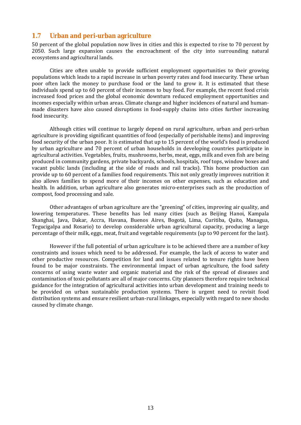### **1.7 Urban and peri-urban agriculture**

50 percent of the global population now lives in cities and this is expected to rise to 70 percent by 2050. Such large expansion causes the encroachment of the city into surrounding natural ecosystems and agricultural lands.

 Cities are often unable to provide sufficient employment opportunities to their growing populations which leads to a rapid increase in urban poverty rates and food insecurity. These urban poor often lack the money to purchase food or the land to grow it. It is estimated that these individuals spend up to 60 percent of their incomes to buy food. For example, the recent food crisis increased food prices and the global economic downturn reduced employment opportunities and incomes especially within urban areas. Climate change and higher incidences of natural and humanmade disasters have also caused disruptions in food-supply chains into cities further increasing food insecurity.

 Although cities will continue to largely depend on rural agriculture, urban and peri-urban agriculture is providing significant quantities of food (especially of perishable items) and improving food security of the urban poor. It is estimated that up to 15 percent of the world's food is produced by urban agriculture and 70 percent of urban households in developing countries participate in agricultural activities. Vegetables, fruits, mushrooms, herbs, meat, eggs, milk and even fish are being produced in community gardens, private backyards, schools, hospitals, roof tops, window boxes and vacant public lands (including at the side of roads and rail tracks). This home production can provide up to 60 percent of a families food requirements. This not only greatly improves nutrition it also allows families to spend more of their incomes on other expenses, such as education and health. In addition, urban agriculture also generates micro-enterprises such as the production of compost, food processing and sale.

 Other advantages of urban agriculture are the "greening" of cities, improving air quality, and lowering temperatures. These benefits has led many cities (such as Beijing Hanoi, Kampala Shanghai, Java, Dakar, Accra, Havana, Buenos Aires, Bogotá, Lima, Curitiba, Quito, Managua, Tegucigalpa and Rosario) to develop considerable urban agricultural capacity, producing a large percentage of their milk, eggs, meat, fruit and vegetable requirements (up to 90 percent for the last).

 However if the full potential of urban agriculture is to be achieved there are a number of key constraints and issues which need to be addressed. For example, the lack of access to water and other productive resources. Competition for land and issues related to tenure rights have been found to be major constraints. The environmental impact of urban agriculture, the food safety concerns of using waste water and organic material and the risk of the spread of diseases and contamination of toxic pollutants are all of major concerns. City planners therefore require technical guidance for the integration of agricultural activities into urban development and training needs to be provided on urban sustainable production systems. There is urgent need to revisit food distribution systems and ensure resilient urban-rural linkages, especially with regard to new shocks caused by climate change.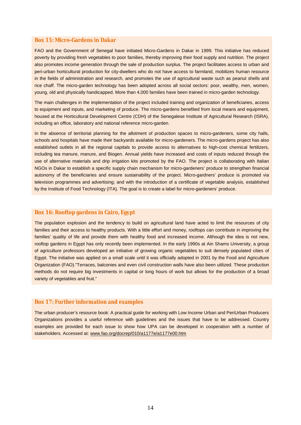#### **Box 15: Micro-Gardens in Dakar**

FAO and the Government of Senegal have initiated Micro-Gardens in Dakar in 1999. This initiative has reduced poverty by providing fresh vegetables to poor families, thereby improving their food supply and nutrition. The project also promotes income generation through the sale of production surplus. The project facilitates access to urban and peri-urban horticultural production for city-dwellers who do not have access to farmland, mobilizes human resource in the fields of administration and research, and promotes the use of agricultural waste such as peanut shells and rice chaff. The micro-garden technology has been adopted across all social sectors: poor, wealthy, men, women, young, old and physically handicapped. More than 4,000 families have been trained in micro-garden technology.

The main challenges in the implementation of the project included training and organization of beneficiaries, access to equipment and inputs, and marketing of produce. The micro-gardens benefited from local means and equipment, housed at the Horticultural Development Centre (CDH) of the Senegalese Institute of Agricultural Research (ISRA), including an office, laboratory and national reference micro-garden.

In the absence of territorial planning for the allotment of production spaces to micro-gardeners, some city halls, schools and hospitals have made their backyards available for micro-gardeners. The micro-gardens project has also established outlets in all the regional capitals to provide access to alternatives to high-cost chemical fertilizers, including tea manure, manure, and Biogen. Annual yields have increased and costs of inputs reduced through the use of alternative materials and drip irrigation kits promoted by the FAO. The project is collaborating with Italian NGOs in Dakar to establish a specific supply chain mechanism for micro-gardeners' produce to strengthen financial autonomy of the beneficiaries and ensure sustainability of the project. Micro-gardners' produce is promoted via television programmes and advertising; and with the introduction of a certificate of vegetable analysis, established by the Institute of Food Technology (ITA). The goal is to create a label for micro-gardeners' produce.

#### **Box 16: Rooftop gardens in Cairo, Egypt**

The population explosion and the tendency to build on agricultural land have acted to limit the resources of city families and their access to healthy products. With a little effort and money, rooftops can contribute in improving the families' quality of life and provide them with healthy food and increased income. Although the idea is not new, rooftop gardens in Egypt has only recently been implemented. In the early 1990s at Ain Shams University, a group of agriculture professors developed an initiative of growing organic vegetables to suit densely populated cities of Egypt. The initiative was applied on a small scale until it was officially adopted in 2001 by the Food and Agriculture Organization (FAO)."Terraces, balconies and even civil construction walls have also been utilized. These production methods do not require big investments in capital or long hours of work but allows for the production of a broad variety of vegetables and fruit."

#### **Box 17: Further information and examples**

The urban producer's resource book: A practical guide for working with Low Income Urban and PeriUrban Producers Organizations provides a useful reference with guidelines and the issues that have to be addressed. Country examples are provided for each issue to show how UPA can be developed in cooperation with a number of stakeholders. Accessed at: www.fao.org/docrep/010/a1177e/a1177e00.htm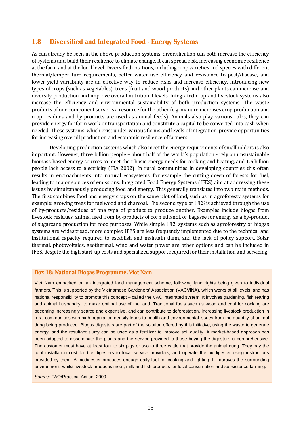### **1.8 Diversified and Integrated Food - Energy Systems**

As can already be seen in the above production systems, diversification can both increase the efficiency of systems and build their resilience to climate change. It can spread risk, increasing economic resilience at the farm and at the local level. Diversified rotations, including crop varieties and species with different thermal/temperature requirements, better water use efficiency and resistance to pest/disease, and lower yield variability are an effective way to reduce risks and increase efficiency. Introducing new types of crops (such as vegetables), trees (fruit and wood products) and other plants can increase and diversify production and improve overall nutritional levels. Integrated crop and livestock systems also increase the efficiency and environmental sustainability of both production systems. The waste products of one component serve as a resource for the other (e.g. manure increases crop production and crop residues and by-products are used as animal feeds). Animals also play various roles, they can provide energy for farm work or transportation and constitute a capital to be converted into cash when needed. These systems, which exist under various forms and levels of integration, provide opportunities for increasing overall production and economic resilience of farmers.

 Developing production systems which also meet the energy requirements of smallholders is also important. However, three billion people – about half of the world's population - rely on unsustainable biomass-based energy sources to meet their basic energy needs for cooking and heating, and 1.6 billion people lack access to electricity (IEA 2002). In rural communities in developing countries this often results in encroachments into natural ecosystems, for example the cutting down of forests for fuel, leading to major sources of emissions. Integrated Food Energy Systems (IFES) aim at addressing these issues by simultaneously producing food and energy. This generally translates into two main methods. The first combines food and energy crops on the same plot of land, such as in agroforesty systems for example: growing trees for fuelwood and charcoal. The second type of IFES is achieved through the use of by-products/residues of one type of product to produce another. Examples include biogas from livestock residues, animal feed from by-products of corn ethanol, or bagasse for energy as a by-product of sugarcane production for food purposes. While simple IFES systems such as agroforestry or biogas systems are widespread, more complex IFES are less frequently implemented due to the technical and institutional capacity required to establish and maintain them, and the lack of policy support. Solar thermal, photovoltaics, geothermal, wind and water power are other options and can be included in IFES, despite the high start-up costs and specialized support required for their installation and servicing.

#### **Box 18: National Biogas Programme, Viet Nam**

Viet Nam embarked on an integrated land management scheme, following land rights being given to individual farmers. This is supported by the Vietnamese Gardeners' Association (VACVINA), which works at all levels, and has national responsibility to promote this concept – called the VAC integrated system. It involves gardening, fish rearing and animal husbandry, to make optimal use of the land. Traditional fuels such as wood and coal for cooking are becoming increasingly scarce and expensive, and can contribute to deforestation. Increasing livestock production in rural communities with high population density leads to health and environmental issues from the quantity of animal dung being produced. Biogas digesters are part of the solution offered by this initiative, using the waste to generate energy, and the resultant slurry can be used as a fertilizer to improve soil quality. A market-based approach has been adopted to disseminate the plants and the service provided to those buying the digesters is comprehensive. The customer must have at least four to six pigs or two to three cattle that provide the animal dung. They pay the total installation cost for the digesters to local service providers, and operate the biodigester using instructions provided by them. A biodigester produces enough daily fuel for cooking and lighting. It improves the surrounding environment, whilst livestock produces meat, milk and fish products for local consumption and subsistence farming.

*Source:* FAO/Practical Action, 2009.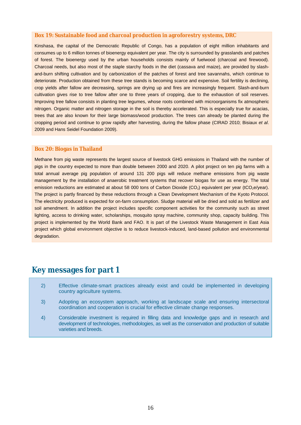#### **Box 19: Sustainable food and charcoal production in agroforestry systems, DRC**

Kinshasa, the capital of the Democratic Republic of Congo, has a population of eight million inhabitants and consumes up to 6 million tonnes of bioenergy equivalent per year. The city is surrounded by grasslands and patches of forest. The bioenergy used by the urban households consists mainly of fuelwood (charcoal and firewood). Charcoal needs, but also most of the staple starchy foods in the diet (cassava and maize), are provided by slashand-burn shifting cultivation and by carbonization of the patches of forest and tree savannahs, which continue to deteriorate. Production obtained from these tree stands is becoming scarce and expensive. Soil fertility is declining, crop yields after fallow are decreasing, springs are drying up and fires are increasingly frequent. Slash-and-burn cultivation gives rise to tree fallow after one to three years of cropping, due to the exhaustion of soil reserves. Improving tree fallow consists in planting tree legumes, whose roots combined with microorganisms fix atmospheric nitrogen. Organic matter and nitrogen storage in the soil is thereby accelerated. This is especially true for acacias, trees that are also known for their large biomass/wood production. The trees can already be planted during the cropping period and continue to grow rapidly after harvesting, during the fallow phase (CIRAD 2010; Bisiaux *et al*. 2009 and Hans Seidel Foundation 2009).

#### **Box 20: Biogas in Thailand**

Methane from pig waste represents the largest source of livestock GHG emissions in Thailand with the number of pigs in the country expected to more than double between 2000 and 2020. A pilot project on ten pig farms with a total annual average pig population of around 131 200 pigs will reduce methane emissions from pig waste management by the installation of anaerobic treatment systems that recover biogas for use as energy. The total emission reductions are estimated at about 58 000 tons of Carbon Dioxide (CO<sub>2</sub>) equivalent per year (tCO<sub>2</sub>e/year). The project is partly financed by these reductions through a Clean Development Mechanism of the Kyoto Protocol. The electricity produced is expected for on-farm consumption. Sludge material will be dried and sold as fertilizer and soil amendment. In addition the project includes specific component activities for the community such as street lighting, access to drinking water, scholarships, mosquito spray machine, community shop, capacity building. This project is implemented by the World Bank and FAO. It is part of the Livestock Waste Management in East Asia project which global environment objective is to reduce livestock-induced, land-based pollution and environmental degradation.

### **Key messages for part 1**

- 2) Effective climate-smart practices already exist and could be implemented in developing country agriculture systems.
- 3) Adopting an ecosystem approach, working at landscape scale and ensuring intersectoral coordination and cooperation is crucial for effective climate change responses.
- 4) Considerable investment is required in filling data and knowledge gaps and in research and development of technologies, methodologies, as well as the conservation and production of suitable varieties and breeds.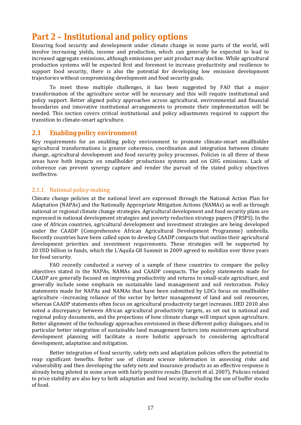## **Part 2 – Institutional and policy options**

Ensuring food security and development under climate change in some parts of the world, will involve increasing yields, income and production, which can generally be expected to lead to increased aggregate emissions, although emissions per unit product may decline. While agricultural production systems will be expected first and foremost to increase productivity and resilience to support food security, there is also the potential for developing low emission development trajectories without compromising development and food security goals.

 To meet these multiple challenges, it has been suggested by FAO that a major transformation of the agriculture sector will be necessary and this will require institutional and policy support. Better aligned policy approaches across agricultural, environmental and financial boundaries and innovative institutional arrangements to promote their implementation will be needed. This section covers critical institutional and policy adjustments required to support the transition to climate-smart agriculture.

### **2.1 Enabling policy environment**

Key requirements for an enabling policy environment to promote climate-smart smallholder agricultural transformations is greater coherence, coordination and integration between climate change, agricultural development and food security policy processes. Policies in all three of these areas have both impacts on smallholder productions systems and on GHG emissions. Lack of coherence can prevent synergy capture and render the pursuit of the stated policy objectives ineffective.

### 2.1.1 National policy-making

Climate change policies at the national level are expressed through the National Action Plan for Adaptation (NAPAs) and the Nationally Appropriate Mitigation Actions (NAMAs) as well as through national or regional climate change strategies. Agricultural development and food security plans are expressed in national development strategies and poverty reduction strategy papers (PRSPS). In the case of African countries, agricultural development and investment strategies are being developed under the CAADP (Comprehensive African Agricultural Development Programme) umbrella. Recently countries have been called upon to develop CAADP compacts that outline their agricultural development priorities and investment requirements. These strategies will be supported by 20 USD billion in funds, which the L'Aquila G8 Summit in 2009 agreed to mobilize over three years for food security.

 FAO recently conducted a survey of a sample of these countries to compare the policy objectives stated in the NAPAs, NAMAs and CAADP compacts. The policy statements made for CAADP are generally focused on improving productivity and returns to small-scale agriculture, and generally include some emphasis on sustainable land management and soil restoration. Policy statements made for NAPAs and NAMAs that have been submitted by LDCs focus on smallholder agriculture –increasing reliance of the sector by better management of land and soil resources, whereas CAADP statements often focus on agricultural productivity target increases. IIED 2010 also noted a discrepancy between African agricultural productivity targets, as set out in national and regional policy documents, and the projections of how climate change will impact upon agriculture. Better alignment of the technology approaches envisioned in these different policy dialogues, and in particular better integration of sustainable land management factors into mainstream agricultural development planning will facilitate a more holistic approach to considering agricultural development, adaptation and mitigation.

 Better integration of food security, safety nets and adaptation policies offers the potential to reap significant benefits. Better use of climate science information in assessing risks and vulnerability and then developing the safety nets and insurance products as an effective response is already being piloted in some areas with fairly positive results (Barrett *et al*. 2007). Policies related to price stability are also key to both adaptation and food security, including the use of buffer stocks of food.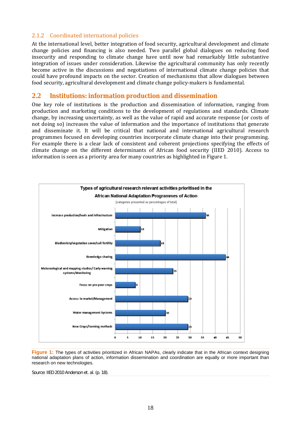#### 2.1.2 Coordinated international policies

At the international level, better integration of food security, agricultural development and climate change policies and financing is also needed. Two parallel global dialogues on reducing food insecurity and responding to climate change have until now had remarkably little substantive integration of issues under consideration. Likewise the agricultural community has only recently become active in the discussions and negotiations of international climate change policies that could have profound impacts on the sector. Creation of mechanisms that allow dialogues between food security, agricultural development and climate change policy-makers is fundamental.

### **2.2 Institutions: information production and dissemination**

One key role of institutions is the production and dissemination of information, ranging from production and marketing conditions to the development of regulations and standards. Climate change, by increasing uncertainty, as well as the value of rapid and accurate response (or costs of not doing so) increases the value of information and the importance of institutions that generate and disseminate it. It will be critical that national and international agricultural research programmes focused on developing countries incorporate climate change into their programming. For example there is a clear lack of consistent and coherent projections specifying the effects of climate change on the different determinants of African food security (IIED 2010). Access to information is seen as a priority area for many countries as highlighted in Figure 1.



**Figure 1:** The types of activities prioritized in African NAPAs, clearly indicate that in the African context designing national adaptation plans of action, information dissemination and coordination are equally or more important than research on new technologies.

*Source:* IIED 2010 Anderson *et. al.* (p. 18).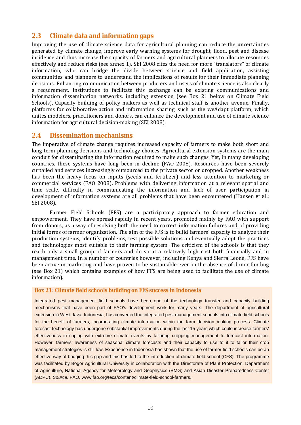### **2.3 Climate data and information gaps**

Improving the use of climate science data for agricultural planning can reduce the uncertainties generated by climate change, improve early warning systems for drought, flood, pest and disease incidence and thus increase the capacity of farmers and agricultural planners to allocate resources effectively and reduce risks (see annex 1). SEI 2008 cites the need for more "translators" of climate information, who can bridge the divide between science and field application, assisting communities and planners to understand the implications of results for their immediate planning decisions. Enhancing communication between producers and users of climate science is also clearly a requirement. Institutions to facilitate this exchange can be existing communications and information dissemination networks, including extension (see Box 21 below on Climate Field Schools). Capacity building of policy makers as well as technical staff is another avenue. Finally, platforms for collaborative action and information sharing, such as the weAdapt platform, which unites modelers, practitioners and donors, can enhance the development and use of climate science information for agricultural decision-making (SEI 2008).

#### **2.4 Dissemination mechanisms**

The imperative of climate change requires increased capacity of farmers to make both short and long term planning decisions and technology choices. Agricultural extension systems are the main conduit for disseminating the information required to make such changes. Yet, in many developing countries, these systems have long been in decline (FAO 2008). Resources have been severely curtailed and services increasingly outsourced to the private sector or dropped. Another weakness has been the heavy focus on inputs (seeds and fertilizer) and less attention to marketing or commercial services (FAO 2008). Problems with delivering information at a relevant spatial and time scale, difficulty in communicating the information and lack of user participation in development of information systems are all problems that have been encountered (Hansen *et al.*; SEI 2008).

 Farmer Field Schools (FFS) are a participatory approach to farmer education and empowerment. They have spread rapidly in recent years, promoted mainly by FAO with support from donors, as a way of resolving both the need to correct information failures and of providing initial forms of farmer organization. The aim of the FFS is to build farmers' capacity to analyze their production systems, identify problems, test possible solutions and eventually adopt the practices and technologies most suitable to their farming system. The criticism of the schools is that they reach only a small group of farmers and do so at a relatively high cost both financially and in management time. In a number of countries however, including Kenya and Sierra Leone, FFS have been active in marketing and have proven to be sustainable even in the absence of donor funding (see Box 21) which contains examples of how FFS are being used to facilitate the use of climate information).

#### **Box 21: Climate field schools building on FFS success in Indonesia**

Integrated pest management field schools have been one of the technology transfer and capacity building mechanisms that have been part of FAO's development work for many years. The department of agricultural extension in West Java, Indonesia, has converted the integrated pest management schools into climate field schools for the benefit of farmers, incorporating climate information within the farm decision making process. Climate forecast technology has undergone substantial improvements during the last 15 years which could increase farmers' effectiveness in coping with extreme climate events by tailoring cropping management to forecast information. However, farmers' awareness of seasonal climate forecasts and their capacity to use to it to tailor their crop management strategies is still low. Experience in Indonesia has shown that the use of farmer field schools can be an effective way of bridging this gap and this has led to the introduction of climate field school (CFS). The programme was facilitated by Bogor Agricultural University in collaboration with the Directorate of Plant Protection, Department of Agriculture, National Agency for Meteorology and Geophysics (BMG) and Asian Disaster Preparedness Center (ADPC). *Source:* FAO, www.fao.org/teca/content/climate-field-school-farmers.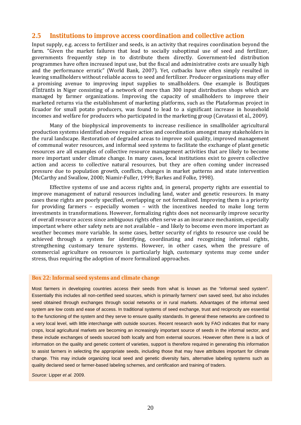#### **2.5 Institutions to improve access coordination and collective action**

Input supply, e.g. access to fertilizer and seeds, is an activity that requires coordination beyond the farm. "Given the market failures that lead to socially suboptimal use of seed and fertilizer, governments frequently step in to distribute them directly. Government-led distribution programmes have often increased input use, but the fiscal and administrative costs are usually high and the performance erratic" (World Bank, 2007). Yet, cutbacks have often simply resulted in leaving smallholders without reliable access to seed and fertilizer. Producer organizations may offer a promising avenue to improving input supplies to smallholders. One example is *Boutiques d'Intrants* in Niger consisting of a network of more than 300 input distribution shops which are managed by farmer organizations. Improving the capacity of smallholders to improve their marketed returns via the establishment of marketing platforms, such as the Plataformas project in Ecuador for small potato producers, was found to lead to a significant increase in household incomes and welfare for producers who participated in the marketing group (Cavatassi *et al*., 2009).

 Many of the biophysical improvements to increase resilience in smallholder agricultural production systems identified above require action and coordination amongst many stakeholders in the rural landscape. Restoration of degraded areas to improve soil quality, improved management of communal water resources, and informal seed systems to facilitate the exchange of plant genetic resources are all examples of collective resource management activities that are likely to become more important under climate change. In many cases, local institutions exist to govern collective action and access to collective natural resources, but they are often coming under increased pressure due to population growth, conflicts, changes in market patterns and state intervention (McCarthy and Swallow, 2000; Niamir-Fuller, 1999; Barkes and Folke, 1998).

 Effective systems of use and access rights and, in general, property rights are essential to improve management of natural resources including land, water and genetic resources. In many cases these rights are poorly specified, overlapping or not formalized. Improving them is a priority for providing farmers – especially women – with the incentives needed to make long term investments in transformations. However, formalizing rights does not necessarily improve security of overall resource access since ambiguous rights often serve as an insurance mechanism, especially important where other safety nets are not available – and likely to become even more important as weather becomes more variable. In some cases, better security of rights to resource use could be achieved through a system for identifying, coordinating and recognizing informal rights, strengthening customary tenure systems. However, in other cases, when the pressure of commercial agriculture on resources is particularly high, customary systems may come under stress, thus requiring the adoption of more formalized approaches.

#### **Box 22: Informal seed systems and climate change**

Most farmers in developing countries access their seeds from what is known as the "informal seed system". Essentially this includes all non-certified seed sources, which is primarily farmers' own saved seed, but also includes seed obtained through exchanges through social networks or in rural markets. Advantages of the informal seed system are low costs and ease of access. In traditional systems of seed exchange, trust and reciprocity are essential to the functioning of the system and they serve to ensure quality standards. In general these networks are confined to a very local level, with little interchange with outside sources. Recent research work by FAO indicates that for many crops, local agricultural markets are becoming an increasingly important source of seeds in the informal sector, and these include exchanges of seeds sourced both locally and from external sources. However often there is a lack of information on the quality and genetic content of varieties, support is therefore required in generating this information to assist farmers in selecting the appropriate seeds, including those that may have attributes important for climate change. This may include organizing local seed and genetic diversity fairs, alternative labeling systems such as quality declared seed or farmer-based labeling schemes, and certification and training of traders.

*Source:* Lipper *et al.* 2009.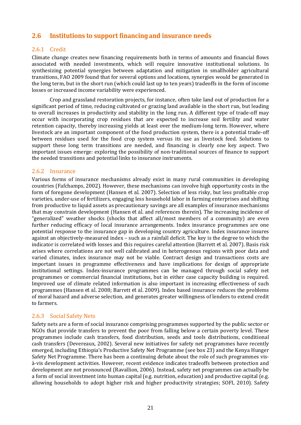### **2.6 Institutions to support financing and insurance needs**

### 2.6.1 Credit

Climate change creates new financing requirements both in terms of amounts and financial flows associated with needed investments, which will require innovative institutional solutions. In synthesizing potential synergies between adaptation and mitigation in smallholder agricultural transitions, FAO 2009 found that for several options and locations, synergies would be generated in the long term, but in the short run (which could last up to ten years) tradeoffs in the form of income losses or increased income variability were experienced.

 Crop and grassland restoration projects, for instance, often take land out of production for a significant period of time, reducing cultivated or grazing land available in the short run, but leading to overall increases in productivity and stability in the long run. A different type of trade-off may occur with incorporating crop residues that are expected to increase soil fertility and water retention capacity, thereby increasing yields at least over the medium-long term. However, where livestock are an important component of the food production system, there is a potential trade-off between residues used for the food crop system versus its use as livestock feed. Solutions to support these long term transitions are needed, and financing is clearly one key aspect. Two important issues emerge: exploring the possibility of non-traditional sources of finance to support the needed transitions and potential links to insurance instruments.

#### 2.6.2 Insurance

Various forms of insurance mechanisms already exist in many rural communities in developing countries (Fafchamps, 2002). However, these mechanisms can involve high opportunity costs in the form of foregone development (Hansen *et al*. 2007). Selection of less risky, but less profitable crop varieties, under-use of fertilizers, engaging less household labor in farming enterprises and shifting from productive to liquid assets as precautionary savings are all examples of insurance mechanisms that may constrain development (Hansen *et al*. and references therein). The increasing incidence of "generalized" weather shocks (shocks that affect all/most members of a community) are even further reducing efficacy of local insurance arrangements. Index insurance programmes are one potential response to the insurance gap in developing country agriculture. Index insurance insures against an objectively-measured index – such as a rainfall deficit. The key is the degree to which the indicator is correlated with losses and this requires careful attention (Barrett *et al*. 2007). Basis risk arises where correlations are not well calibrated and in heterogenous regions with poor data and varied climates, index insurance may not be viable. Contract design and transactions costs are important issues in programme effectiveness and have implications for design of appropriate institutional settings. Index-insurance programmes can be managed through social safety net programmes or commercial financial institutions, but in either case capacity building is required. Improved use of climate related information is also important in increasing effectiveness of such programmes (Hansen *et al.* 2008; Barrett *et al.* 2009). Index based insurance reduces the problems of moral hazard and adverse selection, and generates greater willingness of lenders to extend credit to farmers.

### 2.6.3 Social Safety Nets

Safety nets are a form of social insurance comprising programmes supported by the public sector or NGOs that provide transfers to prevent the poor from falling below a certain poverty level. These programmes include cash transfers, food distribution, seeds and tools distributions, conditional cash transfers (Devereaux, 2002). Several new initiatives for safety net programmes have recently emerged, including Ethiopia's Productive Safety Net Programme (see box 23) and the Kenya Hunger Safety Net Programme. There has been a continuing debate about the role of such programmes visà-vis development activities. However, recent evidence indicates tradeoffs between protection and development are not pronounced (Ravallion, 2006). Instead, safety net programmes can actually be a form of social investment into human capital (e.g. nutrition, education) and productive capital (e.g. allowing households to adopt higher risk and higher productivity strategies; SOFI, 2010). Safety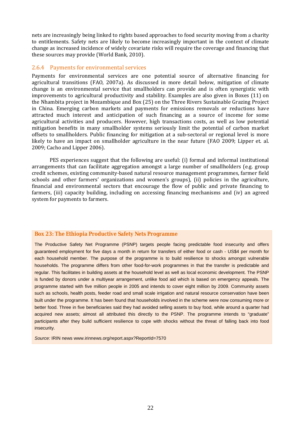nets are increasingly being linked to rights based approaches to food security moving from a charity to entitlements. Safety nets are likely to become increasingly important in the context of climate change as increased incidence of widely covariate risks will require the coverage and financing that these sources may provide (World Bank, 2010).

#### 2.6.4 Payments for environmental services

Payments for environmental services are one potential source of alternative financing for agricultural transitions (FAO, 2007a). As discussed in more detail below, mitigation of climate change is an environmental service that smallholders can provide and is often synergistic with improvements to agricultural productivity and stability. Examples are also given in Boxes (11) on the Nhambita project in Mozambique and Box (25) on the Three Rivers Sustainable Grazing Project in China. Emerging carbon markets and payments for emissions removals or reductions have attracted much interest and anticipation of such financing as a source of income for some agricultural activities and producers. However, high transactions costs, as well as low potential mitigation benefits in many smallholder systems seriously limit the potential of carbon market offsets to smallholders. Public financing for mitigation at a sub-sectoral or regional level is more likely to have an impact on smallholder agriculture in the near future (FAO 2009; Lipper et. al. 2009; Cacho and Lipper 2006).

 PES experiences suggest that the following are useful: (i) formal and informal institutional arrangements that can facilitate aggregation amongst a large number of smallholders (e.g. group credit schemes, existing community-based natural resource management programmes, farmer field schools and other farmers' organizations and women's groups), (ii) policies in the agriculture, financial and environmental sectors that encourage the flow of public and private financing to farmers, (iii) capacity building, including on accessing financing mechanisms and (iv) an agreed system for payments to farmers.

#### **Box 23: The Ethiopia Productive Safety Nets Programme**

The Productive Safety Net Programme (PSNP) targets people facing predictable food insecurity and offers guaranteed employment for five days a month in return for transfers of either food or cash - US\$4 per month for each household member. The purpose of the programme is to build resilience to shocks amongst vulnerable households. The programme differs from other food-for-work programmes in that the transfer is predictable and regular. This facilitates in building assets at the household level as well as local economic development. The PSNP is funded by donors under a multiyear arrangement, unlike food aid which is based on emergency appeals. The programme started with five million people in 2005 and intends to cover eight million by 2009. Community assets such as schools, health posts, feeder road and small scale irrigation and natural resource conservation have been built under the programme. It has been found that households involved in the scheme were now consuming more or better food. Three in five beneficiaries said they had avoided selling assets to buy food, while around a quarter had acquired new assets; almost all attributed this directly to the PSNP. The programme intends to "graduate" participants after they build sufficient resilience to cope with shocks without the threat of falling back into food insecurity.

*Source:* IRIN news www.irinnews.org/report.aspx?ReportId=7570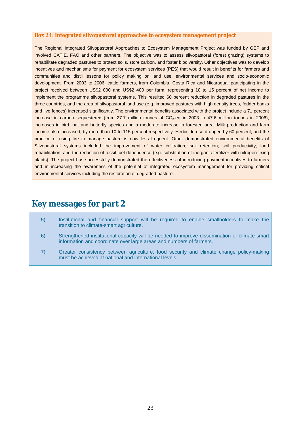#### **Box 24: Integrated silvopastoral approaches to ecosystem management project**

The Regional Integrated Silvopastoral Approaches to Ecosystem Management Project was funded by GEF and involved CATIE, FAO and other partners. The objective was to assess silvopastoral (forest grazing) systems to rehabilitate degraded pastures to protect soils, store carbon, and foster biodiversity. Other objectives was to develop incentives and mechanisms for payment for ecosystem services (PES) that would result in benefits for farmers and communities and distil lessons for policy making on land use, environmental services and socio-economic development. From 2003 to 2006, cattle farmers, from Colombia, Costa Rica and Nicaragua, participating in the project received between US\$2 000 and US\$2 400 per farm, representing 10 to 15 percent of net income to implement the programme silvopastoral systems. This resulted 60 percent reduction in degraded pastures in the three countries, and the area of silvopastoral land use (e.g. improved pastures with high density trees, fodder banks and live fences) increased significantly. The environmental benefits associated with the project include a 71 percent increase in carbon sequestered (from 27.7 million tonnes of  $CO<sub>2</sub>$ -eq in 2003 to 47.6 million tonnes in 2006), increases in bird, bat and butterfly species and a moderate increase in forested area. Milk production and farm income also increased, by more than 10 to 115 percent respectively. Herbicide use dropped by 60 percent, and the practice of using fire to manage pasture is now less frequent. Other demonstrated environmental benefits of Silvopastoral systems included the improvement of water infiltration; soil retention; soil productivity; land rehabilitation, and the reduction of fossil fuel dependence (e.g. substitution of inorganic fertilizer with nitrogen fixing plants). The project has successfully demonstrated the effectiveness of introducing payment incentives to farmers and in increasing the awareness of the potential of integrated ecosystem management for providing critical environmental services including the restoration of degraded pasture.

## **Key messages for part 2**

- 5) Institutional and financial support will be required to enable smallholders to make the transition to climate-smart agriculture.
- 6) Strengthened institutional capacity will be needed to improve dissemination of climate-smart information and coordinate over large areas and numbers of farmers.
- 7) Greater consistency between agriculture, food security and climate change policy-making must be achieved at national and international levels.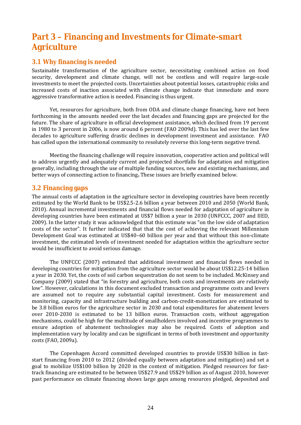## **Part 3 – Financing and Investments for Climate-smart Agriculture**

### **3.1 Why financing is needed**

Sustainable transformation of the agriculture sector, necessitating combined action on food security, development and climate change, will not be costless and will require large-scale investments to meet the projected costs. Uncertainties about potential losses, catastrophic risks and increased costs of inaction associated with climate change indicate that immediate and more aggressive transformative action is needed. Financing is thus urgent.

 Yet, resources for agriculture, both from ODA and climate change financing, have not been forthcoming in the amounts needed over the last decades and financing gaps are projected for the future. The share of agriculture in official development assistance, which declined from 19 percent in 1980 to 3 percent in 2006, is now around 6 percent (FAO 2009d). This has led over the last few decades to agriculture suffering drastic declines in development investment and assistance. FAO has called upon the international community to resolutely reverse this long-term negative trend.

 Meeting the financing challenge will require innovation, cooperative action and political will to address urgently and adequately current and projected shortfalls for adaptation and mitigation generally, including through the use of multiple funding sources, new and existing mechanisms, and better ways of connecting action to financing**.** These issues are briefly examined below.

### **3.2 Financing gaps**

The annual costs of adaptation in the agriculture sector in developing countries have been recently estimated by the World Bank to be US\$2.5-2.6 billion a year between 2010 and 2050 (World Bank, 2010). Annual incremental investments and financial flows needed for adaptation of agriculture in developing countries have been estimated at US\$7 billion a year in 2030 (UNFCCC, 2007 and IIED, 2009). In the latter study it was acknowledged that this estimate was "on the low side of adaptation costs of the sector". It further indicated that that the cost of achieving the relevant Millennium Development Goal was estimated at US\$40–60 billion per year and that without this non-climate investment, the estimated levels of investment needed for adaptation within the agriculture sector would be insufficient to avoid serious damage.

 The UNFCCC (2007) estimated that additional investment and financial flows needed in developing countries for mitigation from the agriculture sector would be about US\$12.25-14 billion a year in 2030. Yet, the costs of soil carbon sequestration do not seem to be included. McKinsey and Company (2009) stated that "in forestry and agriculture, both costs and investments are relatively low". However, calculations in this document excluded transaction and programme costs and levers are assumed not to require any substantial capital investment. Costs for measurement and monitoring, capacity and infrastructure building and carbon-credit-monetization are estimated to be 3.8 billion euros for the agriculture sector in 2030 and total expenditures for abatement levers over 2010-2030 is estimated to be 13 billion euros. Transaction costs, without aggregation mechanisms, could be high for the multitude of smallholders involved and incentive programmes to ensure adoption of abatement technologies may also be required. Costs of adoption and implementation vary by locality and can be significant in terms of both investment and opportunity costs (FAO, 2009a).

 The Copenhagen Accord committed developed countries to provide US\$30 billion in faststart financing from 2010 to 2012 (divided equally between adaptation and mitigation) and set a goal to mobilize US\$100 billion by 2020 in the context of mitigation. Pledged resources for fasttrack financing are estimated to be between US\$27.9 and US\$29 billion as of August 2010, however past performance on climate financing shows large gaps among resources pledged, deposited and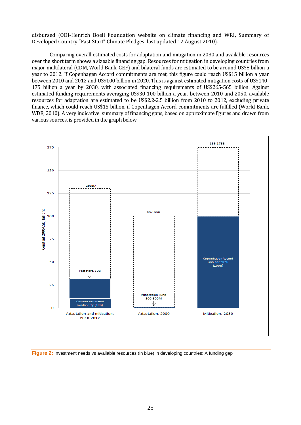disbursed (ODI-Henrich Boell Foundation website on climate financing and WRI, Summary of Developed Country "Fast Start" Climate Pledges, last updated 12 August 2010).

 Comparing overall estimated costs for adaptation and mitigation in 2030 and available resources over the short term shows a sizeable financing gap. Resources for mitigation in developing countries from major multilateral (CDM, World Bank, GEF) and bilateral funds are estimated to be around US\$8 billion a year to 2012. If Copenhagen Accord commitments are met, this figure could reach US\$15 billion a year between 2010 and 2012 and US\$100 billion in 2020. This is against estimated mitigation costs of US\$140- 175 billion a year by 2030, with associated financing requirements of US\$265-565 billion. Against estimated funding requirements averaging US\$30-100 billion a year, between 2010 and 2050, available resources for adaptation are estimated to be US\$2.2-2.5 billion from 2010 to 2012, excluding private finance, which could reach US\$15 billion, if Copenhagen Accord commitments are fulfilled (World Bank, WDR, 2010). A very indicative summary of financing gaps, based on approximate figures and drawn from various sources, is provided in the graph below.



**Figure 2:** Investment needs vs available resources (in blue) in developing countries: A funding gap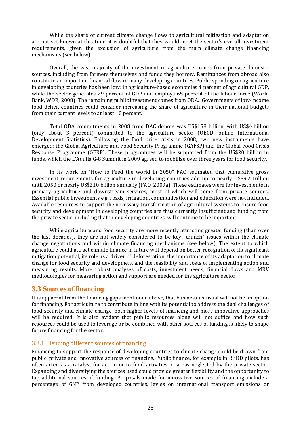While the share of current climate change flows to agricultural mitigation and adaptation are not yet known at this time, it is doubtful that they would meet the sector's overall investment requirements, given the exclusion of agriculture from the main climate change financing mechanisms (see below).

 Overall, the vast majority of the investment in agriculture comes from private domestic sources, including from farmers themselves and funds they borrow. Remittances from abroad also constitute an important financial flow in many developing countries. Public spending on agriculture in developing countries has been low: in agriculture-based economies 4 percent of agricultural GDP, while the sector generates 29 percent of GDP and employs 65 percent of the labour force (World Bank, WDR, 2008). The remaining public investment comes from ODA. Governments of low-income food-deficit countries could consider increasing the share of agriculture in their national budgets from their current levels to at least 10 percent.

 Total ODA commitments in 2008 from DAC donors was US\$158 billion, with US\$4 billion (only about 3 percent) committed to the agriculture sector (OECD, online International Development Statistics). Following the food price crisis in 2008, two new instruments have emerged: the Global Agriculture and Food Security Programme (GAFSP) and the Global Food Crisis Response Programme (GFRP). These programmes will be supported from the US\$20 billion in funds, which the L'Aquila G-8 Summit in 2009 agreed to mobilize over three years for food security.

 In its work on "How to Feed the world in 2050" FAO estimated that cumulative gross investment requirements for agriculture in developing countries add up to nearly US\$9.2 trillion until 2050 or nearly US\$210 billion annually (FAO, 2009a). These estimates were for investments in primary agriculture and downstream services, most of which will come from private sources. Essential public investments e.g. roads, irrigation, communication and education were not included. Available resources to support the necessary transformation of agricultural systems to ensure food security and development in developing countries are thus currently insufficient and funding from the private sector including that in developing countries, will continue to be important.

 While agriculture and food security are more recently attracting greater funding (than over the last decades), they are not widely considered to be key "crunch" issues within the climate change negotiations and within climate financing mechanisms (see below). The extent to which agriculture could attract climate finance in future will depend on better recognition of its significant mitigation potential, its role as a driver of deforestation, the importance of its adaptation to climate change for food security and development and the feasibility and costs of implementing action and measuring results. More robust analyses of costs, investment needs, financial flows and MRV methodologies for measuring action and support are needed for the agriculture sector.

### **3.3 Sources of financing**

It is apparent from the financing gaps mentioned above, that business-as-usual will not be an option for financing. For agriculture to contribute in line with its potential to address the dual challenges of food security and climate change, both higher levels of financing and more innovative approaches will be required. It is also evident that public resources alone will not suffice and how such resources could be used to leverage or be combined with other sources of funding is likely to shape future financing for the sector.

### 3.3.1 Blending different sources of financing

Financing to support the response of developing countries to climate change could be drawn from public, private and innovative sources of financing. Public finance, for example in REDD pilots, has often acted as a catalyst for action or to fund activities or areas neglected by the private sector. Expanding and diversifying the sources used could provide greater flexibility and the opportunity to tap additional sources of funding. Proposals made for innovative sources of financing include a percentage of GNP from developed countries, levies on international transport emissions or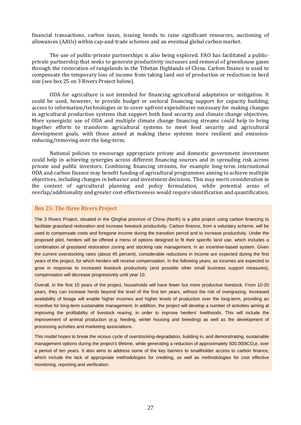financial transactions, carbon taxes, issuing bonds to raise significant resources, auctioning of allowances (AAUs) within cap-and-trade schemes and an eventual global carbon market.

 The use of public-private partnerships is also being explored. FAO has facilitated a publicprivate partnership that seeks to generate productivity increases and removal of greenhouse gases through the restoration of rangelands in the Tibetan Highlands of China. Carbon finance is used to compensate the temporary loss of income from taking land out of production or reduction in herd size (see box 25 on 3 Rivers Project below).

 ODA for agriculture is not intended for financing agricultural adaptation or mitigation. It could be used, however, to provide budget or sectoral financing support for capacity building, access to information/technologies or to cover upfront expenditures necessary for making changes in agricultural production systems that support both food security and climate change objectives. More synergistic use of ODA and multiple climate change financing streams could help to bring together efforts to transform agricultural systems to meet food security and agricultural development goals, with those aimed at making these systems more resilient and emissionreducing/removing over the long-term.

 National policies to encourage appropriate private and domestic government investment could help in achieving synergies across different financing sources and in spreading risk across private and public investors. Combining financing streams, for example long-term international ODA and carbon finance may benefit funding of agricultural programmes aiming to achieve multiple objectives, including changes in behavior and investment decisions. This may merit consideration in the context of agricultural planning and policy formulation, while potential areas of overlap/additionality and greater cost-effectiveness would require identification and quantification.

#### **Box 25: The three Rivers Project**

The 3 Rivers Project, situated in the Qinghai province of China (North) is a pilot project using carbon financing to facilitate grassland restoration and increase livestock productivity. Carbon finance, from a voluntary scheme, will be used to compensate costs and foregone income during the transition period and to increase productivity. Under the proposed pilot, herders will be offered a menu of options designed to fit their specific land use, which includes a combination of grassland restoration zoning and stocking rate management, in an incentive-based system. Given the current overstocking rates (about 45 percent), considerable reductions in income are expected during the first years of the project, for which herders will receive compensation. In the following years, as incomes are expected to grow in response to increased livestock productivity (and possible other small business support measures), compensation will decrease progressively until year 10.

Overall, in the first 10 years of the project, households will have fewer but more productive livestock. From 10-20 years, they can increase herds beyond the level of the first ten years, without the risk of overgrazing. Increased availability of forage will enable higher incomes and higher levels of production over the long-term, providing an incentive for long-term sustainable management. In addition, the project will develop a number of activities aiming at improving the profitability of livestock rearing, in order to improve herders' livelihoods. This will include the improvement of animal production (e.g. feeding, winter housing and breeding) as well as the development of processing activities and marketing associations.

This model hopes to break the vicious cycle of overstocking-degradation, building in, and demonstrating, sustainable management options during the project's lifetime, while generating a reduction of approximately 500,000tCO<sub>2</sub>e, over a period of ten years. It also aims to address some of the key barriers to smallholder access to carbon finance, which include the lack of appropriate methodologies for crediting, as well as methodologies for cost effective monitoring, reporting and verification.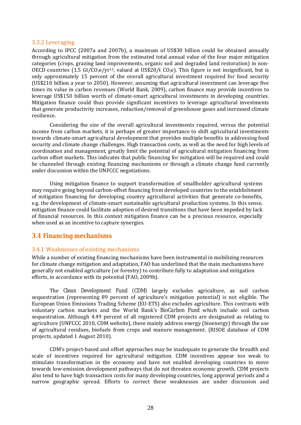#### 3.3.2 Leveraging

According to IPCC (2007a and 2007b), a maximum of US\$30 billion could be obtained annually through agricultural mitigation from the estimated total annual value of the four major mitigation categories (crops, grazing land improvements, organic soil and degraded land restoration) in non-OECD countries (1.5 Gt/CO<sub>2</sub>e/yr<sup>13</sup>, valued at US\$20/t CO<sub>2</sub>e). This figure is not insignificant, but is only approximately 15 percent of the overall agricultural investment required for food security (US\$210 billion a year to 2050). However, assuming that agricultural investment can leverage five times its value in carbon revenues (World Bank, 2009), carbon finance may provide incentives to leverage US\$150 billion worth of climate-smart agricultural investments in developing countries. Mitigation finance could thus provide significant incentives to leverage agricultural investments that generate productivity increases, reduction/removal of greenhouse gases and increased climate resilience.

 Considering the size of the overall agricultural investments required, versus the potential income from carbon markets, it is perhaps of greater importance to shift agricultural investments towards climate-smart agricultural development that provides multiple benefits in addressing food security and climate change challenges. High transaction costs, as well as the need for high levels of coordination and management, greatly limit the potential of agricultural mitigation financing from carbon offset markets. This indicates that public financing for mitigation will be required and could be channeled through existing financing mechanisms or through a climate change fund currently under discussion within the UNFCCC negotiations.

 Using mitigation finance to support transformation of smallholder agricultural systems may require going beyond carbon-offset financing from developed countries to the establishment of mitigation financing for developing country agricultural activities that generate co-benefits, e.g. the development of climate-smart sustainable agricultural production systems. In this sense, mitigation finance could facilitate adoption of desired transitions that have been impeded by lack of financial resources. In this context mitigation finance can be a precious resource, especially when used as an incentive to capture synergies.

### **3.4 Financing mechanisms**

#### 3.4.1 Weaknesses of existing mechanisms

While a number of existing financing mechanisms have been instrumental in mobilizing resources for climate change mitigation and adaptation, FAO has underlined that the main mechanisms have generally not enabled agriculture (or forestry) to contribute fully to adaptation and mitigation efforts, in accordance with its potential (FAO, 2009b).

 The *Clean Development Fund (CDM)* largely excludes agriculture, as soil carbon sequestration (representing 89 percent of agriculture's mitigation potential) is not eligible. The European Union Emissions Trading Scheme (EU-ETS) also excludes agriculture. This contrasts with voluntary carbon markets and the World Bank's *BioCarbon Fund* which include soil carbon sequestration. Although 4.49 percent of all registered CDM projects are designated as relating to agriculture (UNFCCC 2010, CDM website), these mainly address energy (bioenergy) through the use of agricultural residues, biofuels from crops and manure management. (RISOE database of CDM projects, updated 1 August 2010).

 CDM's project-based and offset approaches may be inadequate to generate the breadth and scale of incentives required for agricultural mitigation. CDM incentives appear too weak to stimulate transformation in the economy and have not enabled developing countries to move towards low-emission development pathways that do not threaten economic growth. CDM projects also tend to have high transaction costs for many developing countries, long approval periods and a narrow geographic spread. Efforts to correct these weaknesses are under discussion and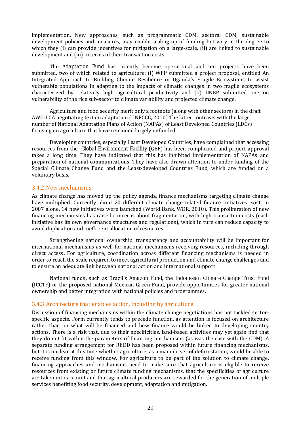implementation. New approaches, such as programmatic CDM, sectoral CDM, sustainable development policies and measures, may enable scaling up of funding but vary in the degree to which they (i) can provide incentives for mitigation on a large-scale, (ii) are linked to sustainable development and (iii) in terms of their transaction costs.

 The *Adaptation Fund* has recently become operational and ten projects have been submitted, two of which related to agriculture: (i) WFP submitted a project proposal, entitled An Integrated Approach to Building Climate Resilience in Uganda's Fragile Ecosystems to assist vulnerable populations in adapting to the impacts of climatic changes in two fragile ecosystems characterized by relatively high agricultural productivity and (ii) UNEP submitted one on vulnerability of the rice sub-sector to climate variability and projected climate change.

 Agriculture and food security merit only a footnote (along with other sectors) in the draft AWG-LCA negotiating text on adaptation (UNFCCC, 2010) The latter contrasts with the large number of National Adaptation Plans of Action (NAPAs) of Least Developed Countries (LDCs) focusing on agriculture that have remained largely unfunded.

 Developing countries, especially Least Developed Countries, have complained that accessing resources from the *Global Environment Facility* (GEF) has been complicated and project approval takes a long time. They have indicated that this has inhibited implementation of NAPAs and preparation of national communications. They have also drawn attention to under-funding of the Special Climate Change Fund and the Least-developed Countries Fund, which are funded on a voluntary basis.

#### 3.4.2 New mechanisms

As climate change has moved up the policy agenda, finance mechanisms targeting climate change have multiplied. Currently about 20 different climate change-related finance initiatives exist. In 2007 alone, 14 new initiatives were launched (World Bank, WDR, 2010). This proliferation of new financing mechanisms has raised concerns about fragmentation, with high transaction costs (each initiative has its own governance structures and regulations), which in turn can reduce capacity to avoid duplication and inefficient allocation of resources.

 Strengthening national ownership, transparency and accountability will be important for international mechanisms as well for national mechanisms receiving resources, including through direct access**.** For agriculture, coordination across different financing mechanisms is needed in order to reach the scale required to meet agricultural production and climate change challenges and to ensure an adequate link between national action and international support.

 National funds**,** such as Brazil's *Amazon Fund*, the *Indonesian Climate Change Trust Fund* (ICCTF) or the proposed national Mexican Green Fund, provide opportunities for greater national ownership and better integration with national policies and programmes.

#### 3.4.3 Architecture that enables action, including by agriculture

Discussion of financing mechanisms within the climate change negotiations has not tackled sectorspecific aspects. Form currently tends to precede function, as attention is focused on architecture rather than on what will be financed and how finance would be linked to developing country actions. There is a risk that, due to their specificities, land-based activities may yet again find that they do not fit within the parameters of financing mechanisms (as was the case with the CDM). A separate funding arrangement for REDD has been proposed within future financing mechanisms, but it is unclear at this time whether agriculture, as a main driver of deforestation, would be able to receive funding from this window. For agriculture to be part of the solution to climate change, financing approaches and mechanisms need to make sure that agriculture is eligible to receive resources from existing or future climate funding mechanisms, that the specificities of agriculture are taken into account and that agricultural producers are rewarded for the generation of multiple services benefiting food security, development, adaptation and mitigation.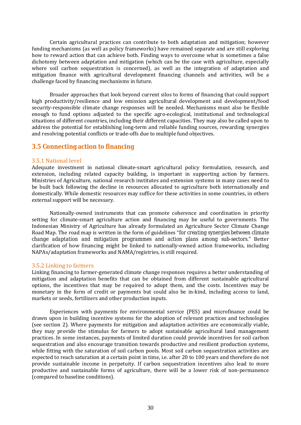Certain agricultural practices can contribute to both adaptation and mitigation; however funding mechanisms (as well as policy frameworks) have remained separate and are still exploring how to reward action that can achieve both. Finding ways to overcome what is sometimes a false dichotomy between adaptation and mitigation (which can be the case with agriculture, especially where soil carbon sequestration is concerned), as well as the integration of adaptation and mitigation finance with agricultural development financing channels and activities, will be a challenge faced by financing mechanisms in future.

 Broader approaches that look beyond current silos to forms of financing that could support high productivity/resilience and low emission agricultural development and development/food security-responsible climate change responses will be needed. Mechanisms must also be flexible enough to fund options adjusted to the specific agro-ecological, institutional and technological situations of different countries, including their different capacities. They may also be called upon to address the potential for establishing long-term and reliable funding sources, rewarding synergies and resolving potential conflicts or trade-offs due to multiple fund objectives.

### **3.5 Connecting action to financing**

#### 3.5.1 National level

Adequate investment in national climate-smart agricultural policy formulation, research, and extension, including related capacity building, is important in supporting action by farmers. Ministries of Agriculture, national research institutes and extension systems in many cases need to be built back following the decline in resources allocated to agriculture both internationally and domestically. While domestic resources may suffice for these activities in some countries, in others external support will be necessary.

 Nationally-owned instruments that can promote coherence and coordination in priority setting for climate-smart agriculture action and financing may be useful to governments. The Indonesian Ministry of Agriculture has already formulated an Agriculture Sector Climate Change Road Map. The road map is written in the form of guidelines "*for creating synergies between climate change adaptation and mitigation programmes and action plans among sub-sectors."* Better clarification of how financing might be linked to nationally-owned action frameworks, including NAPAs/adaptation frameworks and NAMA/registries, is still required.

#### 3.5.2 Linking to farmers

Linking financing to farmer-generated climate change responses requires a better understanding of mitigation and adaptation benefits that can be obtained from different sustainable agricultural options, the incentives that may be required to adopt them, and the costs. Incentives may be monetary in the form of credit or payments but could also be in-kind, including access to land, markets or seeds, fertilizers and other production inputs.

 Experiences with payments for environmental service (PES) and microfinance could be drawn upon in building incentive systems for the adoption of relevant practices and technologies (see section 2). Where payments for mitigation and adaptation activities are economically viable, they may provide the stimulus for farmers to adopt sustainable agricultural land management practices. In some instances, payments of limited duration could provide incentives for soil carbon sequestration and also encourage transition towards productive and resilient production systems, while fitting with the saturation of soil carbon pools. Most soil carbon sequestration activities are expected to reach saturation at a certain point in time, i.e. after 20 to 100 years and therefore do not provide sustainable income in perpetuity. If carbon sequestration incentives also lead to more productive and sustainable forms of agriculture, there will be a lower risk of non-permanence (compared to baseline conditions).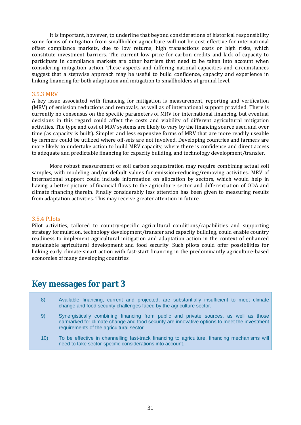It is important, however, to underline that beyond considerations of historical responsibility some forms of mitigation from smallholder agriculture will not be cost effective for international offset compliance markets, due to low returns, high transactions costs or high risks, which constitute investment barriers. The current low price for carbon credits and lack of capacity to participate in compliance markets are other barriers that need to be taken into account when considering mitigation action. These aspects and differing national capacities and circumstances suggest that a stepwise approach may be useful to build confidence, capacity and experience in linking financing for both adaptation and mitigation to smallholders at ground level.

#### 3.5.3 MRV

A key issue associated with financing for mitigation is measurement, reporting and verification (MRV) of emission reductions and removals, as well as of international support provided. There is currently no consensus on the specific parameters of MRV for international financing, but eventual decisions in this regard could affect the costs and viability of different agricultural mitigation activities. The type and cost of MRV systems are likely to vary by the financing source used and over time (as capacity is built). Simpler and less expensive forms of MRV that are more readily useable by farmers could be utilized where off-sets are not involved. Developing countries and farmers are more likely to undertake action to build MRV capacity, where there is confidence and direct access to adequate and predictable financing for capacity building, and technology development/transfer.

 More robust measurement of soil carbon sequestration may require combining actual soil samples, with modeling and/or default values for emission-reducing/removing activities. MRV of international support could include information on allocation by sectors, which would help in having a better picture of financial flows to the agriculture sector and differentiation of ODA and climate financing therein. Finally considerably less attention has been given to measuring results from adaptation activities. This may receive greater attention in future.

#### 3.5.4 Pilots

Pilot activities, tailored to country-specific agricultural conditions/capabilities and supporting strategy formulation, technology development/transfer and capacity building, could enable country readiness to implement agricultural mitigation and adaptation action in the context of enhanced sustainable agricultural development and food security. Such pilots could offer possibilities for linking early climate-smart action with fast-start financing in the predominantly agriculture-based economies of many developing countries.

## **Key messages for part 3**

- 8) Available financing, current and projected, are substantially insufficient to meet climate change and food security challenges faced by the agriculture sector.
- 9) Synergistically combining financing from public and private sources, as well as those earmarked for climate change and food security are innovative options to meet the investment requirements of the agricultural sector.
- 10) To be effective in channelling fast-track financing to agriculture, financing mechanisms will need to take sector-specific considerations into account.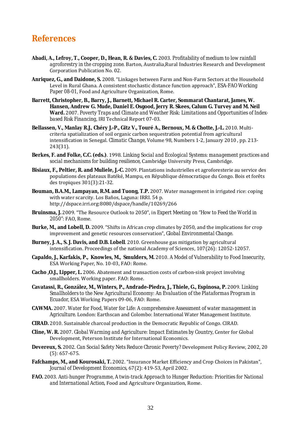## **References**

- **Abadi, A., Lefroy, T., Cooper, D., Hean, R. & Davies, C.** 2003. *Profitability of medium to low rainfall agroforestry in the cropping zone*. Barton, Australia,Rural Industries Research and Development Corporation Publication No. 02.
- **Anriquez, G., and Daidone, S.** 2008. "Linkages between Farm and Non-Farm Sectors at the Household Level in Rural Ghana. A consistent stochastic distance function approach", *ESA-FAO Working Paper 08-01*, Food and Agriculture Organization, Rome.
- **Barrett, Christopher, B., Barry, J., Barnett, Michael R. Carter, Sommarat Chantarat, James, W. Hansen, Andrew G. Mude, Daniel E. Osgood, Jerry R. Skees, Calum G. Turvey and M. Neil Ward.** 2007. *Poverty Traps and Climate and Weather Risk: Limitations and Opportunities of Indexbased Risk Financing*, IRI Technical Report 07-03.
- **Bellassen, V., Manlay R.J.**, **Chéry J.-P., Gitz V., Touré A., Bernoux, M. & Chotte, J.-L.** 2010. Multicriteria spatialization of soil organic carbon sequestration potential from agricultural intensification in Senegal. *Climatic Change*, Volume 98, Numbers 1-2, January 2010 , pp. 213- 243(31).
- **Berkes, F. and Folke, C.C. (eds.)**. 1998. *Linking Social and Ecological Systems: management practices and social mechanisms for building resilience*, Cambridge University Press, Cambridge.
- **Bisiaux, F., Peltier, R. and Muliele, J.-C.** 2009. Plantations industrielles et agroforesterie au service des populations des plateaux Batéké, Mampu, en République démocratique du Congo. Bois et forêts des tropiques 301(3):21-32.
- **Bouman, B.A.M., Lampayan, R.M. and Tuong, T.P.** 2007. Water management in irrigated rice: coping with water scarcity. Los Baños, Laguna: IRRI. 54 p. http://dspace.irri.org:8080/dspace/handle/10269/266
- **Bruinsma, J.** 2009. "The Resource Outlook to 2050", in *Expert Meeting on "How to Feed the World in 2050"*: FAO, Rome.
- **Burke, M., and Lobell, D.** 2009. "Shifts in African crop climates by 2050, and the implications for crop improvement and genetic resources conservation", *Global Environmental Change*.
- **Burney, J. A., S. J. Davis, and D.B. Lobell**. 2010. Greenhouse gas mitigation by agricultural intensification. Proceedings of the national Academy of Sciences, 107(26): 12052-12057.
- **Capaldo, J., Karfakis, P., Knowles, M., Smulders, M.** 2010. *A Model of Vulnerability to Food Insecurity*, ESA Working Paper, No. 10-03, FAO: Rome.
- **Cacho ,O.J., Lipper, L.** 2006. Abatement and transaction costs of carbon-sink project involving smallholders. Working paper. FAO: Rome.
- **Cavatassi, R., González, M., Winters, P., Andrade-Piedra, J., Thiele, G., Espinosa, P.** 2009. *Linking Smallholders to the New Agricultural Economy: An Evaluation of the Plataformas Program in Ecuador*, ESA Working Papers 09-06, FAO: Rome.
- **CAWMA.** 2007. *Water for Food, Water for Life: A comprehensive Assessment of water management in Agriculture*. London: Earthscan and Colombo: International Water Management Institute.
- **CIRAD.** 2010. Sustainable charcoal production in the Democratic Republic of Congo. CIRAD.
- **Cline, W. R.** 2007. *Global Warming and Agriculture: Impact Estimates by Country*, Center for Global Development, Peterson Institute for International Economics.
- **Devereux, S.** 2002. *Can Social Safety Nets Reduce Chronic Poverty?* Development Policy Review, 2002, 20 (5): 657-675.
- **Fafchamps, M., and Kourosaki, T.** 2002. "Insurance Market Efficiency and Crop Choices in Pakistan", *Journal of Development Economics*, 67(2): 419-53, April 2002.
- **FAO.** 2003. *Anti-hunger Programme, A twin-track Approach to Hunger Reduction: Priorities for National and International Action*, Food and Agriculture Organization, Rome.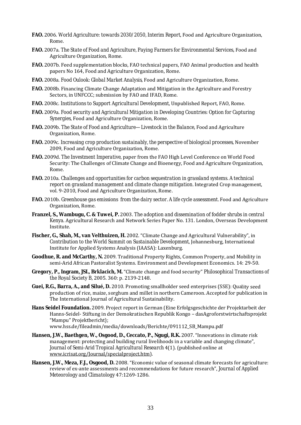- **FAO.** 2006. *World Agriculture: towards 2030/2050, Interim Report*, Food and Agriculture Organization, Rome.
- **FAO.** 2007a. *The State of Food and Agriculture, Paying Farmers for Environmental Services*, Food and Agriculture Organization, Rome.
- **FAO.** 2007b. Feed supplementation blocks, FAO technical papers, FAO Animal production and health papers No 164, Food and Agriculture Organization, Rome.
- **FAO.** 2008a. *Food Oulook: Global Market Analysis*, Food and Agriculture Organization, Rome.
- **FAO.** 2008b. Financing Climate Change Adaptation and Mitigation in the Agriculture and Forestry Sectors, in UNFCCC; submission by FAO and IFAD, Rome.
- **FAO.** 2008c. *Institutions to Support Agricultural Development*, Unpublished Report, FAO, Rome.
- **FAO.** 2009a. *Food security and Agricultural Mitigation in Developing Countries: Option for Capturing Synergies*, Food and Agriculture Organization, Rome.
- **FAO.** 2009b. *The State of Food and Agriculture—Livestock in the Balance*, Food and Agriculture Organization, Rome.
- **FAO.** 2009c. *Increasing crop production sustainably, the perspective of biological processes*, November 2009, Food and Agriculture Organization, Rome.
- **FAO.** 2009d. *The Investment Imperative*, paper from the FAO High Level Conference on World Food Security: The Challenges of Climate Change and Bioenergy, Food and Agriculture Organization, Rome.
- **FAO.** 2010a. *Challenges and opportunities for carbon sequestration in grassland systems. A technical report on grassland management and climate change mitigation.* Integrated Crop management, vol. 9-2010, Food and Agriculture Organization, Rome.
- **FAO.** 2010b. *Greenhouse gas emissions from the dairy sector. A life cycle assessment.* Food and Agriculture Organization, Rome.
- **Franzel, S., Wambugu, C. & Tuwei, P.** 2003. *The adoption and dissemination of fodder shrubs in central Kenya*. Agricultural Research and Network Series Paper No. 131. London, Overseas Development Institute.
- **Fischer, G., Shah, M., van Velthuizen, H.** 2002. "Climate Change and Agricultural Vulnerability", in *Contribution to the World Summit on Sustainable Development*, Johannesburg, International Institute for Applied Systems Analysis (IAASA): Laxenburg.
- **Goodhue, R. and McCarthy, N.** 2009. Traditional Property Rights, Common Property, and Mobility in semi-Arid African Pastoralist Systems. Environment and Development Economics. 14: 29-50.
- **Gregory, P., Ingram, JSI., Brklacich, M.** "Climate change and food security" *Philosophical Transactions of the Royal Society B*, 2005. 360: p. 2139-2148.
- **Guei, R.G., Barra, A., and Silué, D.** 2010. Promoting smallholder seed enterprises (SSE): Quality seed production of rice, maize, sorghum and millet in northern Cameroon. Accepted for publication in The International Journal of Agricultural Sustainability.
- **Hans Seidel Foundation.** 2009. Project report in German (Eine Erfolgsgeschichte der Projektarbeit der Hanns-Seidel- Stiftung in der Demokratischen Republik Kongo – dasAgroforstwirtschaftsprojekt "Mampu" Projektbericht);
	- www.hss.de/fileadmin/media/downloads/Berichte/091112\_SB\_Mampu.pdf
- **Hansen, J.W., Baethgen, W., Osgood, D., Ceccato, P., Ngugi, R.K.** 2007. "Innovations in climate risk management: protecting and building rural livelihoods in a variable and changing climate", *Journal of Semi-Arid Tropical Agricultural Research* 4(1). (published online at www.icrisat.org/Journal/specialproject.htm).
- Hansen, J.W., Meza, F.J., Osgood, D. 2008. "Economic value of seasonal climate forecasts for agriculture: review of ex-ante assessments and recommendations for future research", *Journal of Applied Meteorology and Climatology* 47:1269-1286.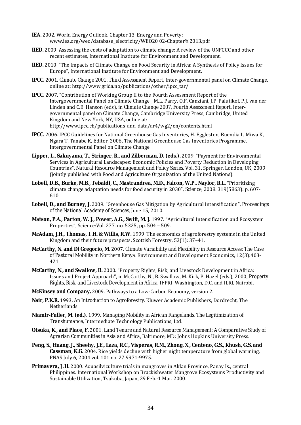- **IEA.** 2002. World Energy Outlook. Chapter 13. Energy and Poverty: www.iea.org/weo/database\_electricity/WEO20 02-Chapter%2013.pdf
- **IIED.** 2009. Assessing the costs of adaptation to climate change: A review of the UNFCCC and other recent estimates, International Institute for Environment and Development.
- **IIED.** 2010. "The Impacts of Climate Change on Food Security in Africa: A Synthesis of Policy Issues for Europe", International Institute for Environment and Development.
- **IPCC.** 2001. *Climate Change 2001, Third Assessment Report*, Inter-governmental panel on Climate Change, online at: http://www.grida.no/publications/other/ipcc\_tar/
- **IPCC.** 2007. "Contribution of Working Group II to the Fourth Assessment Report of the Intergovernmental Panel on Climate Change", M.L. Parry, O.F. Canziani, J.P. Palutikof, P.J. van der Linden and C.E. Hanson (eds), in *Climate Change 2007, Fourth Assessment Report*, Intergovernmental panel on Climate Change, Cambridge University Press, Cambridge, United Kingdom and New York, NY, USA, online at: http://www.ipcc.ch/publications\_and\_data/ar4/wg2/en/contents.html
- **IPCC.** 2006. IPCC Guidelines for National Greenhouse Gas Inventories, H. Eggleston, Buendia L, Miwa K, Ngara T, Tanabe K, Editor. 2006, The National Greenhouse Gas Inventories Programme, Intergovernmental Panel on Climate Change.
- **Lipper, L., Sakuyama, T., Stringer, R., and Zilberman, D. (eds.).** 2009. "Payment for Environmental Services in Agricultural Landscapes: Economic Policies and Poverty Reduction in Developing Countries", *Natural Resource Management and Policy Series*, Vol. 31, Springer, London, UK, 2009 (jointly published with Food and Agriculture Organization of the United Nations).
- **Lobell, D.B., Burke, M.B., Tebaldi, C., Mastrandrea, M.D., Falcon, W.P., Naylor, R.L.** "Prioritizing climate change adaptation needs for food security in 2030", *Science*, 2008. 319(5863): p. 607- 610.
- **Lobell, D., and Burney, J.** 2009. "Greenhouse Gas Mitigation by Agricultural Intensification", *Proceedings of the National Academy of Sciences*, June 15, 2010.
- **Matson, P.A., Parton, W. J., Power, A.G., Swift, M. J.** 1997. "Agricultural Intensification and Ecosystem Properties", Science:Vol. 277. no. 5325, pp. 504 – 509.
- **McAdam, J.H., Thomas, T.H. & Willis, R.W.** 1999. The economics of agroforestry systems in the United Kingdom and their future prospects. Scottish Forestry, 53(1): 37–41.
- **McCarthy, N. and Di Gregorio, M.** 2007. *Climate Variability and Flexibility in Resource Access: The Case of Pastoral Mobility in Northern Kenya.* Environment and Development Economics, 12(3):403- 421.
- **McCarthy, N., and Swallow, B.** 2000. "Property Rights, Risk, and Livestock Development in Africa: Issues and Project Approach", in McCarthy, N., B. Swallow, M. Kirk, P. Hazel (eds.), 2000, *Property Rights, Risk, and Livestock Development in Africa*, IFPRI, Washington, D.C. and ILRI, Nairobi.
- **McKinsey and Company.** 2009. Pathways to a Low-Carbon Economy, version 2.
- **Nair, P.K.R.** 1993. *An Introduction to Agroforestry*. Kluwer Academic Publishers, Dordrecht, The Netherlands.
- **Niamir-Fuller, M. (ed.).** 1999. *Managing Mobility in African Rangelands. The Legitimization of Transhumance*, Intermediate Technology Publications, Ltd.
- **Otsuka, K., and Place, F.** 2001. *Land Tenure and Natural Resource Management: A Comparative Study of Agrarian Communities in Asia and Africa,* Baltimore, MD: Johns Hopkins University Press.
- **Peng, S., Huang, J., Sheehy, J.E., Laza, R.C., Visperas, R.M., Zhong, X., Centeno, G.S., Khush, G.S. and Cassman, K.G.** 2004. Rice yields decline with higher night temperature from global warming, PNAS July 6, 2004 vol. 101 no. 27 9971-9975.
- **Primavera, J .H.** 2000. Aquasilviculture trials in mangroves in Aklan Province, Panay Is., central Philippines. International Workshop on Brackishwater Mangrove Ecosystems Productivity and Sustainable Utilization, Tsukuba, Japan, 29 Feb.-1 Mar. 2000.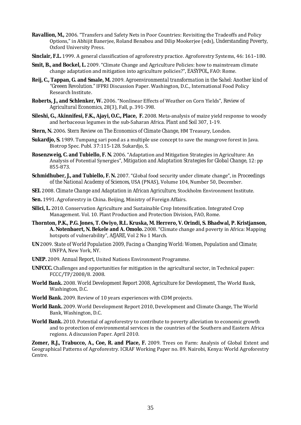- **Ravallion, M.,** 2006. "Transfers and Safety Nets in Poor Countries: Revisiting the Tradeoffs and Policy Options," in Abhijit Banerjee, Roland Benabou and Dilip Mookerjee (eds), *Understanding Poverty*, Oxford University Press.
- **Sinclair, F.L.** 1999. A general classification of agroforestry practice. Agroforestry Systems, 46: 161–180.
- **Smit, B., and Bockel, L.** 2009. "Climate Change and Agriculture Policies: how to mainstream climate change adaptation and mitigation into agriculture policies?", *EASYPOL*, FAO: Rome.
- **Reij, C., Tappan, G. and Smale, M.** 2009. *Agroenvironmental transformation in the Sahel: Another kind of "Greeen Revolution."* IFPRI Discussion Paper. Washington, D.C., International Food Policy Research Institute.
- **Roberts, J., and Schlenker, W.** 2006. "Nonlinear Effects of Weather on Corn Yields", *Review of Agricultural Economics*, 28(3), Fall, p. 391-398.
- **Sileshi, G., Akinnifesi, F.K., Ajayi, O.C., Place, F.** 2008. Meta-analysis of maize yield response to woody and herbaceous legumes in the sub-Saharan Africa. *Plant and Soil* 307, 1-19.
- **Stern, N.** 2006. *Stern Review on The Economics of Climate Change*, HM Treasury, London.
- **Sukardjo, S.** 1989. Tumpang sari pond as a multiple use concept to save the mangrove forest in Java. Biotrop Spec. Publ. 37:115-128. Sukardjo, S.
- **Rosenzweig, C. and Tubiello, F. N.** 2006. "Adaptation and Mitigation Strategies in Agriculture: An Analysis of Potential Synergies", *Mitigation and Adaptation Strategies for Global Change*, 12: pp 855-873.
- **Schmidhuber, J., and Tubiello, F. N.** 2007. "Global food security under climate change", in *Proceedings of the National Academy of Sciences*, USA (PNAS), Volume 104, Number 50, December.
- **SEI.** 2008. *Climate Change and Adaptation in African Agriculture*, Stockholm Environment Institute.
- **Sen.** 1991. Agroforestry in China. Beijing, Ministry of Foreign Affairs.
- **Silici, L.** 2010. Conservation Agriculture and Sustainable Crop Intensification. Integrated Crop Management. Vol. 10. Plant Production and Protection Division, FAO, Rome.
- **Thornton, P.K., P.G. Jones, T. Owiyo, R.L. Kruska, M. Herrero, V. Orindi, S. Bhadwal, P. Kristjanson, A. Notenbaert, N. Bekele and A. Omolo.** 2008. "Climate change and poverty in Africa: Mapping hotspots of vulnerability", *AfJARE*, Vol 2 No 1 March.
- **UN** 2009. *State of World Population 2009, Facing a Changing World: Women, Population and Climate*; UNFPA, New York, NY.
- **UNEP.** 2009. *Annual Report*, United Nations Environment Programme.
- **UNFCCC.** Challenges and opportunities for mitigation in the agricultural sector, in Technical paper: FCCC/TP/2008/8. 2008.
- **World Bank.** 2008. *World Development Report 2008, Agriculture for Development*, The World Bank, Washington, D.C.
- **World Bank.** 2009. Review of 10 years experiences with CDM projects.
- **World Bank.** 2009. World Development Report 2010, Development and Climate Change, The World Bank, Washington, D.C.
- **World Bank.** 2010. Potential of agroforestry to contribute to poverty alleviation to economic growth and to protection of environmental services in the countries of the Southern and Eastern Africa regions. A discussion Paper. April 2010.

**Zomer, R.J., Trabucco, A., Coe, R. and Place, F.** 2009. Trees on Farm: Analysis of Global Extent and Geographical Patterns of Agroforestry. ICRAF Working Paper no. 89. Nairobi, Kenya: World Agroforestry Centre.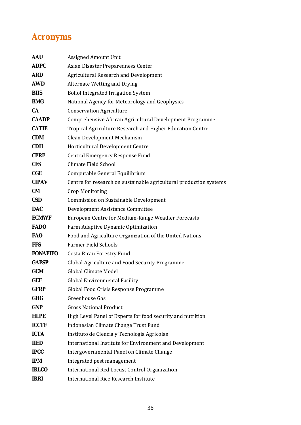## **Acronyms**

| <b>AAU</b>      | <b>Assigned Amount Unit</b>                                        |
|-----------------|--------------------------------------------------------------------|
| <b>ADPC</b>     | Asian Disaster Preparedness Center                                 |
| <b>ARD</b>      | Agricultural Research and Development                              |
| <b>AWD</b>      | Alternate Wetting and Drying                                       |
| <b>BIIS</b>     | <b>Bohol Integrated Irrigation System</b>                          |
| <b>BMG</b>      | National Agency for Meteorology and Geophysics                     |
| <b>CA</b>       | <b>Conservation Agriculture</b>                                    |
| <b>CAADP</b>    | Comprehensive African Agricultural Development Programme           |
| <b>CATIE</b>    | Tropical Agriculture Research and Higher Education Centre          |
| <b>CDM</b>      | Clean Development Mechanism                                        |
| <b>CDH</b>      | <b>Horticultural Development Centre</b>                            |
| <b>CERF</b>     | Central Emergency Response Fund                                    |
| <b>CFS</b>      | Climate Field School                                               |
| CGE             | Computable General Equilibrium                                     |
| <b>CIPAV</b>    | Centre for research on sustainable agricultural production systems |
| CM              | Crop Monitoring                                                    |
| <b>CSD</b>      | Commission on Sustainable Development                              |
| <b>DAC</b>      | Development Assistance Committee                                   |
| <b>ECMWF</b>    | European Centre for Medium-Range Weather Forecasts                 |
| <b>FADO</b>     | Farm Adaptive Dynamic Optimization                                 |
| <b>FAO</b>      | Food and Agriculture Organization of the United Nations            |
| <b>FFS</b>      | <b>Farmer Field Schools</b>                                        |
| <b>FONAFIFO</b> | Costa Rican Forestry Fund                                          |
| <b>GAFSP</b>    | Global Agriculture and Food Security Programme                     |
| <b>GCM</b>      | <b>Global Climate Model</b>                                        |
| GEF             | Global Environmental Facility                                      |
| <b>GFRP</b>     | Global Food Crisis Response Programme                              |
| <b>GHG</b>      | Greenhouse Gas                                                     |
| <b>GNP</b>      | <b>Gross National Product</b>                                      |
| <b>HLPE</b>     | High Level Panel of Experts for food security and nutrition        |
| <b>ICCTF</b>    | Indonesian Climate Change Trust Fund                               |
| <b>ICTA</b>     | Instituto de Ciencia y Tecnología Agrícolas                        |
| <b>IIED</b>     | International Institute for Environment and Development            |
| <b>IPCC</b>     | Intergovernmental Panel on Climate Change                          |
| <b>IPM</b>      | Integrated pest management                                         |
| <b>IRLCO</b>    | International Red Locust Control Organization                      |
| <b>IRRI</b>     | <b>International Rice Research Institute</b>                       |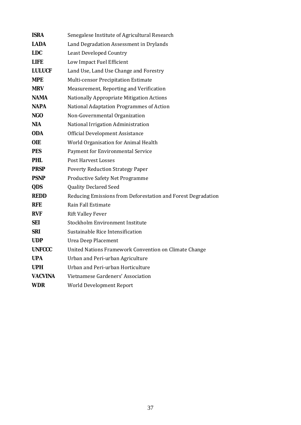| <b>ISRA</b>    | Senegalese Institute of Agricultural Research                |
|----------------|--------------------------------------------------------------|
| <b>LADA</b>    | Land Degradation Assessment in Drylands                      |
| <b>LDC</b>     | <b>Least Developed Country</b>                               |
| LIFE           | Low Impact Fuel Efficient                                    |
| <b>LULUCF</b>  | Land Use, Land Use Change and Forestry                       |
| MPE            | Multi-censor Precipitation Estimate                          |
| <b>MRV</b>     | Measurement, Reporting and Verification                      |
| <b>NAMA</b>    | Nationally Appropriate Mitigation Actions                    |
| <b>NAPA</b>    | National Adaptation Programmes of Action                     |
| <b>NGO</b>     | Non-Governmental Organization                                |
| NIA            | National Irrigation Administration                           |
| <b>ODA</b>     | Official Development Assistance                              |
| <b>OIE</b>     | World Organisation for Animal Health                         |
| <b>PES</b>     | Payment for Environmental Service                            |
| <b>PHL</b>     | <b>Post Harvest Losses</b>                                   |
| <b>PRSP</b>    | <b>Poverty Reduction Strategy Paper</b>                      |
| <b>PSNP</b>    | <b>Productive Safety Net Programme</b>                       |
| QDS            | <b>Quality Declared Seed</b>                                 |
| <b>REDD</b>    | Reducing Emissions from Deforestation and Forest Degradation |
| <b>RFE</b>     | Rain Fall Estimate                                           |
| <b>RVF</b>     | <b>Rift Valley Fever</b>                                     |
| <b>SEI</b>     | Stockholm Environment Institute                              |
| <b>SRI</b>     | Sustainable Rice Intensification                             |
| <b>UDP</b>     | Urea Deep Placement                                          |
| <b>UNFCCC</b>  | United Nations Framework Convention on Climate Change        |
| <b>UPA</b>     | Urban and Peri-urban Agriculture                             |
| <b>UPH</b>     | Urban and Peri-urban Horticulture                            |
| <b>VACVINA</b> | Vietnamese Gardeners' Association                            |
| <b>WDR</b>     | World Development Report                                     |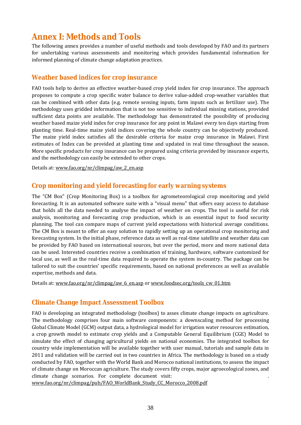## **Annex I: Methods and Tools**

The following annex provides a number of useful methods and tools developed by FAO and its partners for undertaking various assessments and monitoring which provides fundamental information for informed planning of climate change adaptation practices.

### **Weather based indices for crop insurance**

FAO tools help to derive an effective weather-based crop yield index for crop insurance. The approach proposes to compute a crop specific water balance to derive value-added crop-weather variables that can be combined with other data (e.g. remote sensing inputs, farm inputs such as fertilizer use). The methodology uses gridded information that is not too sensitive to individual missing stations, provided sufficient data points are available. The methodology has demonstrated the possibility of producing weather based maize yield index for crop insurance for any point in Malawi every ten days starting from planting time. Real-time maize yield indices covering the whole country can be objectively produced. The maize yield index satisfies all the desirable criteria for maize crop insurance in Malawi. First estimates of Index can be provided at planting time and updated in real time throughout the season. More specific products for crop insurance can be prepared using criteria provided by insurance experts, and the methodology can easily be extended to other crops.

Details at: www.fao.org/nr/climpag/aw\_2\_en.asp

### **Crop monitoring and yield forecasting for early warning systems**

The "CM Box" (Crop Monitoring Box) is a toolbox for agrometeorological crop monitoring and yield forecasting. It is an automated software suite with a "visual menu" that offers easy access to database that holds all the data needed to analyse the impact of weather on crops. The tool is useful for risk analysis, monitoring and forecasting crop production, which is an essential input to food security planning. The tool can compare maps of current yield expectations with historical average conditions. The CM Box is meant to offer an easy solution to rapidly setting up an operational crop monitoring and forecasting system. In the initial phase, reference data as well as real-time satellite and weather data can be provided by FAO based on international sources, but over the period, more and more national data can be used. Interested countries receive a combination of training, hardware, software customized for local use, as well as the real-time data required to operate the system in-country. The package can be tailored to suit the countries' specific requirements, based on national preferences as well as available expertise, methods and data.

Details at: www.fao.org/nr/climpag/aw\_6\_en.asp or www.foodsec.org/tools\_cw\_01.htm

### **Climate Change Impact Assessment Toolbox**

FAO is developing an integrated methodology (toolbox) to asses climate change impacts on agriculture. The methodology comprises four main software components: a downscaling method for processing Global Climate Model (GCM) output data, a hydrological model for irrigation water resources estimation, a crop growth model to estimate crop yields and a Computable General Equilibrium (CGE) Model to simulate the effect of changing agricultural yields on national economies. The integrated toolbox for country wide implementation will be available together with user manual, tutorials and sample data in 2011 and validation will be carried out in two countries in Africa. The methodology is based on a study conducted by FAO, together with the World Bank and Morocco national institutions, to assess the impact of climate change on Moroccan agriculture. The study covers fifty crops, major agroecological zones, and climate change scenarios. For complete document visit: .

www.fao.org/nr/climpag/pub/FAO\_WorldBank\_Study\_CC\_Morocco\_2008.pdf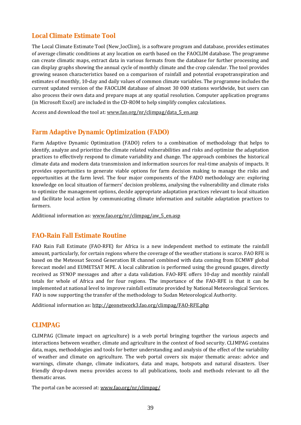### **Local Climate Estimate Tool**

The Local Climate Estimate Tool (New\_locClim), is a software program and database, provides estimates of average climatic conditions at any location on earth based on the FAOCLIM database. The programme can create climatic maps, extract data in various formats from the database for further processing and can display graphs showing the annual cycle of monthly climate and the crop calendar. The tool provides growing season characteristics based on a comparison of rainfall and potential evapotranspiration and estimates of monthly, 10-day and daily values of common climate variables. The programme includes the current updated version of the FAOCLIM database of almost 30 000 stations worldwide, but users can also process their own data and prepare maps at any spatial resolution. Computer application programs (in Microsoft Excel) are included in the CD-ROM to help simplify complex calculations.

Access and download the tool at: www.fao.org/nr/climpag/data 5 en.asp

### **Farm Adaptive Dynamic Optimization (FADO)**

Farm Adaptive Dynamic Optimization (FADO) refers to a combination of methodology that helps to identify, analyze and prioritize the climate related vulnerabilities and risks and optimize the adaptation practices to effectively respond to climate variability and change. The approach combines the historical climate data and modern data transmission and information sources for real-time analysis of impacts. It provides opportunities to generate viable options for farm decision making to manage the risks and opportunities at the farm level. The four major components of the FADO methodology are: exploring knowledge on local situation of farmers' decision problems, analysing the vulnerability and climate risks to optimize the management options, decide appropriate adaptation practices relevant to local situation and facilitate local action by communicating climate information and suitable adaptation practices to farmers.

Additional information as: www.fao.org/nr/climpag/aw\_5\_en.asp

### **FAO-Rain Fall Estimate Routine**

FAO Rain Fall Estimate (FAO-RFE) for Africa is a new independent method to estimate the rainfall amount, particularly, for certain regions where the coverage of the weather stations is scarce. FAO RFE is based on the Meteosat Second Generation IR channel combined with data coming from ECMWF global forecast model and EUMETSAT MPE. A local calibration is performed using the ground gauges, directly received as SYNOP messages and after a data validation. FAO-RFE offers 10-day and monthly rainfall totals for whole of Africa and for four regions. The importance of the FAO-RFE is that it can be implemented at national level to improve rainfall estimate provided by National Meteorological Services. FAO is now supporting the transfer of the methodology to Sudan Meteorological Authority.

Additional information as: http://geonetwork3.fao.org/climpag/FAO-RFE.php

### **CLIMPAG**

CLIMPAG (Climate impact on agriculture) is a web portal bringing together the various aspects and interactions between weather, climate and agriculture in the context of food security. CLIMPAG contains data, maps, methodologies and tools for better understanding and analysis of the effect of the variability of weather and climate on agriculture. The web portal covers six major thematic areas: advice and warnings, climate change, climate indicators, data and maps, hotspots and natural disasters. User friendly drop-down menu provides access to all publications, tools and methods relevant to all the thematic areas.

The portal can be accessed at: www.fao.org/nr/climpag/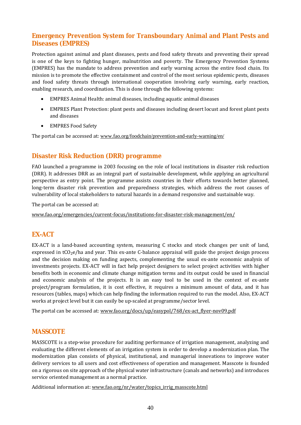### **Emergency Prevention System for Transboundary Animal and Plant Pests and Diseases (EMPRES)**

Protection against animal and plant diseases, pests and food safety threats and preventing their spread is one of the keys to fighting hunger, malnutrition and poverty. The Emergency Prevention Systems (EMPRES) has the mandate to address prevention and early warning across the entire food chain. Its mission is to promote the effective containment and control of the most serious epidemic pests, diseases and food safety threats through international cooperation involving early warning, early reaction, enabling research, and coordination. This is done through the following systems:

- EMPRES Animal Health: animal diseases, including aquatic animal diseases
- EMPRES Plant Protection: plant pests and diseases including desert locust and forest plant pests and diseases
- EMPRES Food Safety

The portal can be accessed at: www.fao.org/foodchain/prevention-and-early-warning/en/

### **Disaster Risk Reduction (DRR) programme**

FAO launched a programme in 2003 focusing on the role of local institutions in disaster risk reduction (DRR). It addresses DRR as an integral part of sustainable development, while applying an agricultural perspective as entry point. The programme assists countries in their efforts towards better planned, long-term disaster risk prevention and preparedness strategies, which address the root causes of vulnerability of local stakeholders to natural hazards in a demand responsive and sustainable way.

The portal can be accessed at:

www.fao.org/emergencies/current-focus/institutions-for-disaster-risk-management/en/

### **EX-ACT**

EX-ACT is a land-based accounting system, measuring C stocks and stock changes per unit of land, expressed in  $tCO<sub>2</sub>e/ha$  and year. This ex-ante C-balance appraisal will guide the project design process and the decision making on funding aspects, complementing the usual ex-ante economic analysis of investments projects. EX-ACT will in fact help project designers to select project activities with higher benefits both in economic and climate change mitigation terms and its output could be used in financial and economic analysis of the projects. It is an easy tool to be used in the context of ex-ante project/program formulation, it is cost effective, it requires a minimum amount of data, and it has resources (tables, maps) which can help finding the information required to run the model. Also, EX-ACT works at project level but it can easily be up-scaled at programme/sector level.

The portal can be accessed at: www.fao.org/docs/up/easypol/768/ex-act\_flyer-nov09.pdf

#### **MASSCOTE**

MASSCOTE is a step-wise procedure for auditing performance of irrigation management, analyzing and evaluating the different elements of an irrigation system in order to develop a modernization plan. The modernization plan consists of physical, institutional, and managerial innovations to improve water delivery services to all users and cost effectiveness of operation and management. Masscote is founded on a rigorous on site approach of the physical water infrastructure (canals and networks) and introduces service oriented management as a normal practice.

Additional information at: www.fao.org/nr/water/topics\_irrig\_masscote.html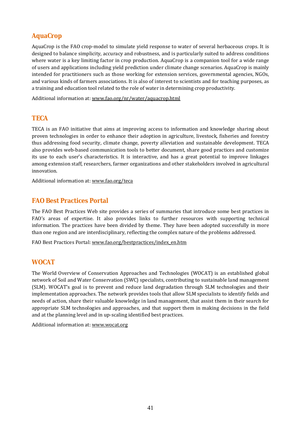### **AquaCrop**

AquaCrop is the FAO crop-model to simulate yield response to water of several herbaceous crops. It is designed to balance simplicity, accuracy and robustness, and is particularly suited to address conditions where water is a key limiting factor in crop production. AquaCrop is a companion tool for a wide range of users and applications including yield prediction under climate change scenarios. AquaCrop is mainly intended for practitioners such as those working for extension services, governmental agencies, NGOs, and various kinds of farmers associations. It is also of interest to scientists and for teaching purposes, as a training and education tool related to the role of water in determining crop productivity.

Additional information at: www.fao.org/nr/water/aquacrop.html

### **TECA**

TECA is an FAO initiative that aims at improving access to information and knowledge sharing about proven technologies in order to enhance their adoption in agriculture, livestock, fisheries and forestry thus addressing food security, climate change, poverty alleviation and sustainable development. TECA also provides web-based communication tools to better document, share good practices and customize its use to each user's characteristics. It is interactive, and has a great potential to improve linkages among extension staff, researchers, farmer organizations and other stakeholders involved in agricultural innovation.

Additional information at: www.fao.org/teca

### **FAO Best Practices Portal**

The FAO Best Practices Web site provides a series of summaries that introduce some best practices in FAO's areas of expertise. It also provides links to further resources with supporting technical information. The practices have been divided by theme. They have been adopted successfully in more than one region and are interdisciplinary, reflecting the complex nature of the problems addressed.

FAO Best Practices Portal: www.fao.org/bestpractices/index\_en.htm

### **WOCAT**

The World Overview of Conservation Approaches and Technologies (WOCAT) is an established global network of Soil and Water Conservation (SWC) specialists, contributing to sustainable land management (SLM). WOCAT's goal is to prevent and reduce land degradation through SLM technologies and their implementation approaches. The network provides tools that allow SLM specialists to identify fields and needs of action, share their valuable knowledge in land management, that assist them in their search for appropriate SLM technologies and approaches, and that support them in making decisions in the field and at the planning level and in up-scaling identified best practices.

Additional information at: www.wocat.org